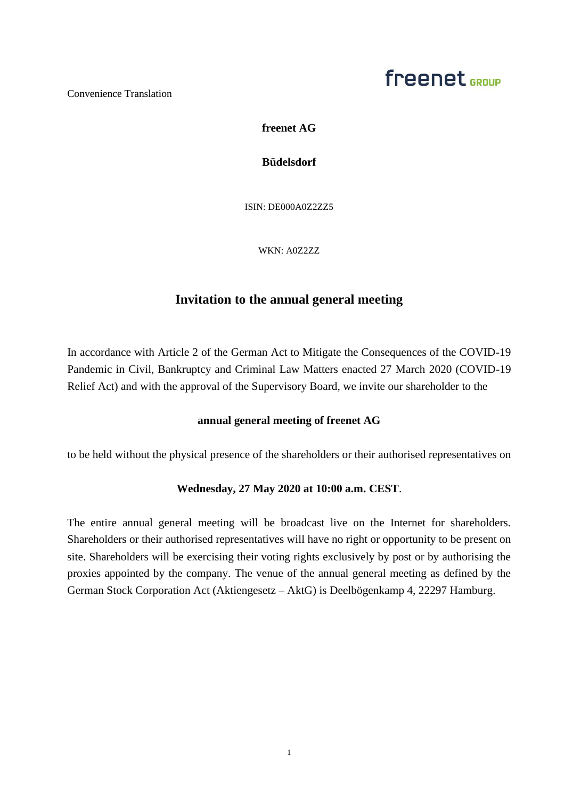### freenet <sub>GPOUP</sub>

Convenience Translation

**freenet AG**

**Büdelsdorf**

ISIN: DE000A0Z2ZZ5

WKN: A0Z2ZZ

### **Invitation to the annual general meeting**

In accordance with Article 2 of the German Act to Mitigate the Consequences of the COVID-19 Pandemic in Civil, Bankruptcy and Criminal Law Matters enacted 27 March 2020 (COVID-19 Relief Act) and with the approval of the Supervisory Board, we invite our shareholder to the

### **annual general meeting of freenet AG**

to be held without the physical presence of the shareholders or their authorised representatives on

### **Wednesday, 27 May 2020 at 10:00 a.m. CEST**.

The entire annual general meeting will be broadcast live on the Internet for shareholders. Shareholders or their authorised representatives will have no right or opportunity to be present on site. Shareholders will be exercising their voting rights exclusively by post or by authorising the proxies appointed by the company. The venue of the annual general meeting as defined by the German Stock Corporation Act (Aktiengesetz – AktG) is Deelbögenkamp 4, 22297 Hamburg.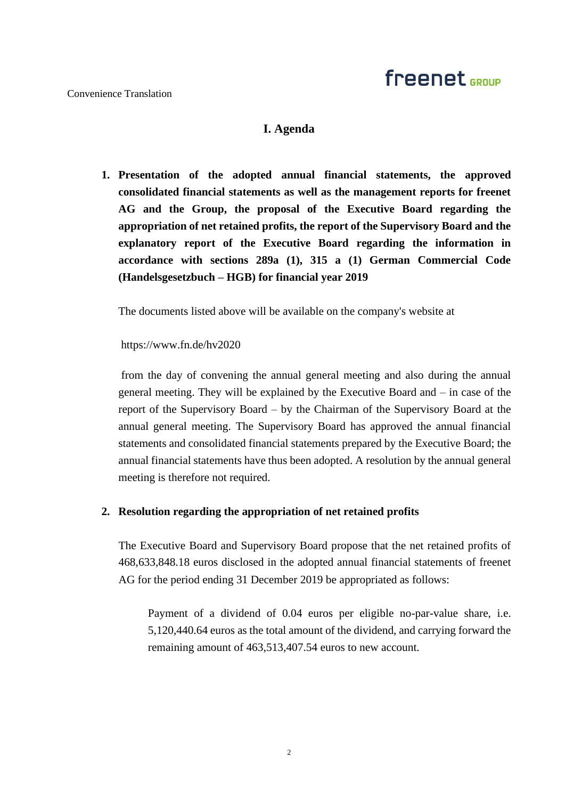### **I. Agenda**

**1. Presentation of the adopted annual financial statements, the approved consolidated financial statements as well as the management reports for freenet AG and the Group, the proposal of the Executive Board regarding the appropriation of net retained profits, the report of the Supervisory Board and the explanatory report of the Executive Board regarding the information in accordance with sections 289a (1), 315 a (1) German Commercial Code (Handelsgesetzbuch – HGB) for financial year 2019** 

The documents listed above will be available on the company's website at

https://www.fn.de/hv2020

from the day of convening the annual general meeting and also during the annual general meeting. They will be explained by the Executive Board and – in case of the report of the Supervisory Board – by the Chairman of the Supervisory Board at the annual general meeting. The Supervisory Board has approved the annual financial statements and consolidated financial statements prepared by the Executive Board; the annual financial statements have thus been adopted. A resolution by the annual general meeting is therefore not required.

### **2. Resolution regarding the appropriation of net retained profits**

The Executive Board and Supervisory Board propose that the net retained profits of 468,633,848.18 euros disclosed in the adopted annual financial statements of freenet AG for the period ending 31 December 2019 be appropriated as follows:

Payment of a dividend of 0.04 euros per eligible no-par-value share, i.e. 5,120,440.64 euros as the total amount of the dividend, and carrying forward the remaining amount of 463,513,407.54 euros to new account.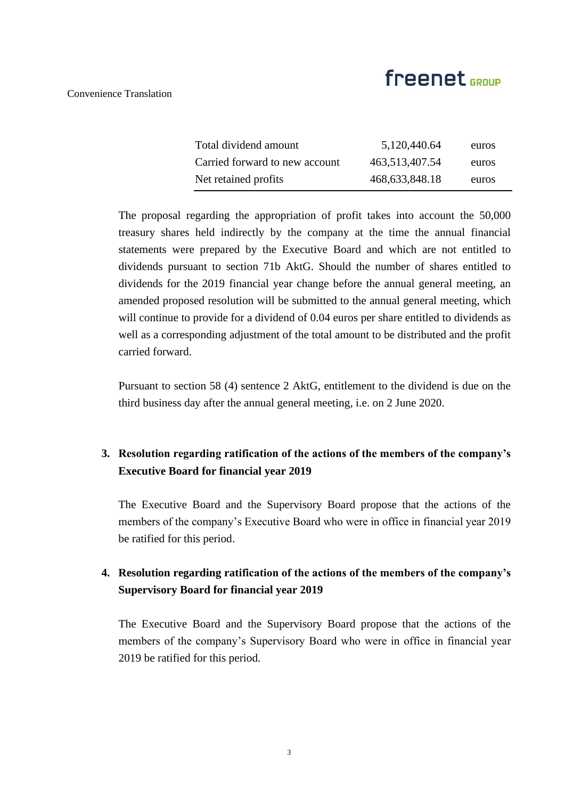Convenience Translation

| Total dividend amount          | 5,120,440.64      | euros |
|--------------------------------|-------------------|-------|
| Carried forward to new account | 463,513,407.54    | euros |
| Net retained profits           | 468, 633, 848. 18 | euros |

The proposal regarding the appropriation of profit takes into account the 50,000 treasury shares held indirectly by the company at the time the annual financial statements were prepared by the Executive Board and which are not entitled to dividends pursuant to section 71b AktG. Should the number of shares entitled to dividends for the 2019 financial year change before the annual general meeting, an amended proposed resolution will be submitted to the annual general meeting, which will continue to provide for a dividend of 0.04 euros per share entitled to dividends as well as a corresponding adjustment of the total amount to be distributed and the profit carried forward.

Pursuant to section 58 (4) sentence 2 AktG, entitlement to the dividend is due on the third business day after the annual general meeting, i.e. on 2 June 2020.

### **3. Resolution regarding ratification of the actions of the members of the company's Executive Board for financial year 2019**

The Executive Board and the Supervisory Board propose that the actions of the members of the company's Executive Board who were in office in financial year 2019 be ratified for this period.

### **4. Resolution regarding ratification of the actions of the members of the company's Supervisory Board for financial year 2019**

The Executive Board and the Supervisory Board propose that the actions of the members of the company's Supervisory Board who were in office in financial year 2019 be ratified for this period.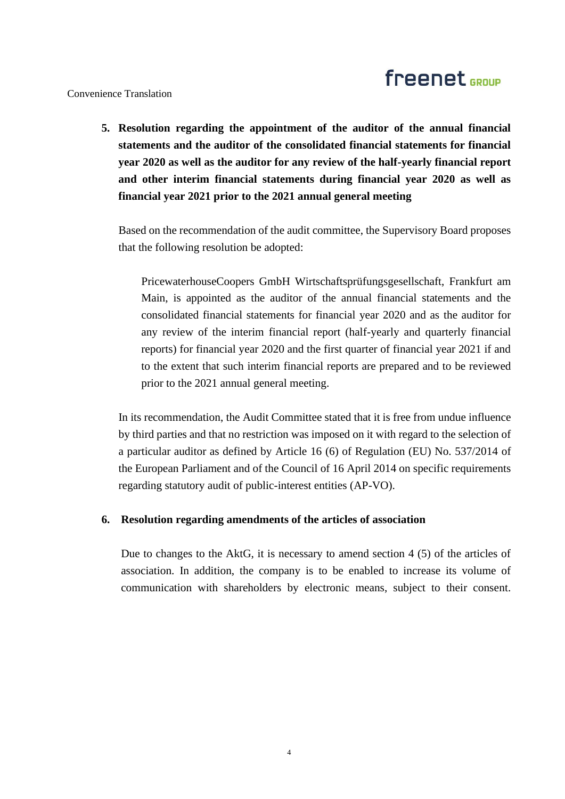Convenience Translation

**5. Resolution regarding the appointment of the auditor of the annual financial statements and the auditor of the consolidated financial statements for financial year 2020 as well as the auditor for any review of the half-yearly financial report and other interim financial statements during financial year 2020 as well as financial year 2021 prior to the 2021 annual general meeting** 

Based on the recommendation of the audit committee, the Supervisory Board proposes that the following resolution be adopted:

PricewaterhouseCoopers GmbH Wirtschaftsprüfungsgesellschaft, Frankfurt am Main, is appointed as the auditor of the annual financial statements and the consolidated financial statements for financial year 2020 and as the auditor for any review of the interim financial report (half-yearly and quarterly financial reports) for financial year 2020 and the first quarter of financial year 2021 if and to the extent that such interim financial reports are prepared and to be reviewed prior to the 2021 annual general meeting.

In its recommendation, the Audit Committee stated that it is free from undue influence by third parties and that no restriction was imposed on it with regard to the selection of a particular auditor as defined by Article 16 (6) of Regulation (EU) No. 537/2014 of the European Parliament and of the Council of 16 April 2014 on specific requirements regarding statutory audit of public-interest entities (AP-VO).

### **6. Resolution regarding amendments of the articles of association**

Due to changes to the AktG, it is necessary to amend section 4 (5) of the articles of association. In addition, the company is to be enabled to increase its volume of communication with shareholders by electronic means, subject to their consent.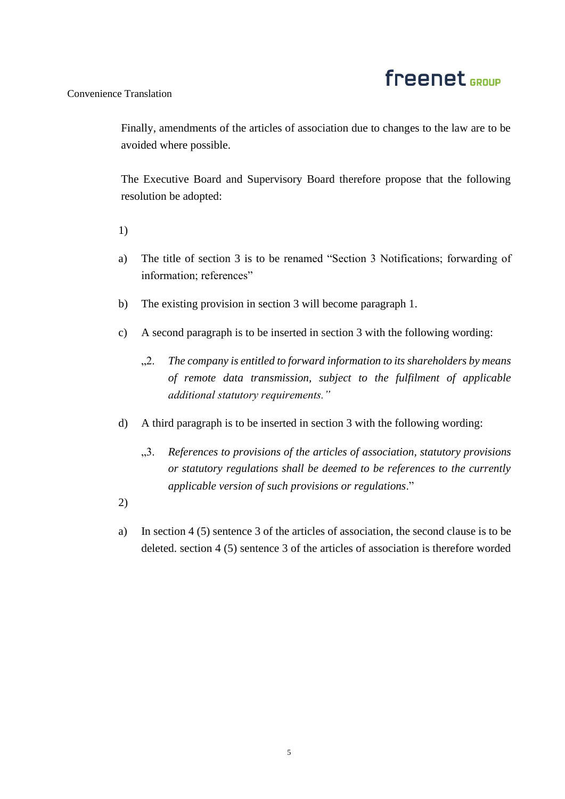### Convenience Translation

Finally, amendments of the articles of association due to changes to the law are to be avoided where possible.

The Executive Board and Supervisory Board therefore propose that the following resolution be adopted:

1)

- a) The title of section 3 is to be renamed "Section 3 Notifications; forwarding of information; references"
- b) The existing provision in section 3 will become paragraph 1.
- c) A second paragraph is to be inserted in section 3 with the following wording:
	- "2. *The company is entitled to forward information to its shareholders by means of remote data transmission, subject to the fulfilment of applicable additional statutory requirements."*
- d) A third paragraph is to be inserted in section 3 with the following wording:
	- "3. *References to provisions of the articles of association, statutory provisions or statutory regulations shall be deemed to be references to the currently applicable version of such provisions or regulations*."
- 2)
- a) In section 4 (5) sentence 3 of the articles of association, the second clause is to be deleted. section 4 (5) sentence 3 of the articles of association is therefore worded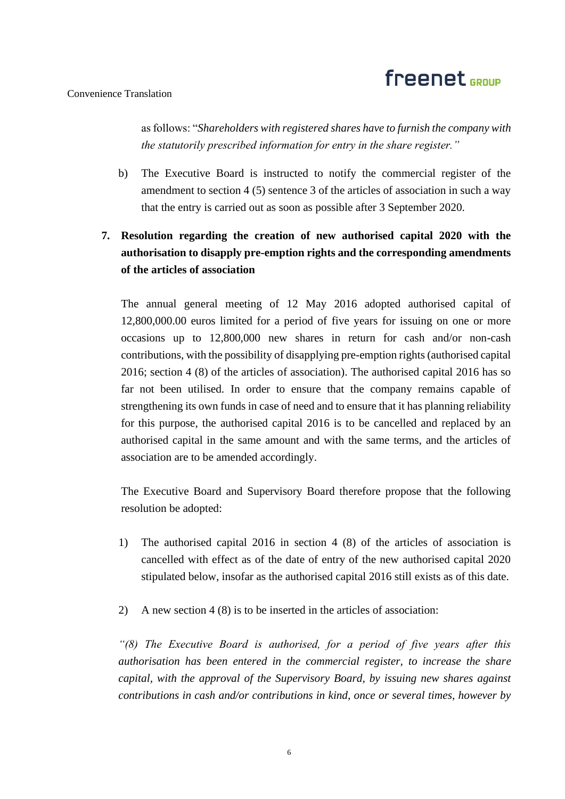### Convenience Translation

as follows: "*Shareholders with registered shares have to furnish the company with the statutorily prescribed information for entry in the share register."*

b) The Executive Board is instructed to notify the commercial register of the amendment to section 4 (5) sentence 3 of the articles of association in such a way that the entry is carried out as soon as possible after 3 September 2020.

### **7. Resolution regarding the creation of new authorised capital 2020 with the authorisation to disapply pre-emption rights and the corresponding amendments of the articles of association**

The annual general meeting of 12 May 2016 adopted authorised capital of 12,800,000.00 euros limited for a period of five years for issuing on one or more occasions up to 12,800,000 new shares in return for cash and/or non-cash contributions, with the possibility of disapplying pre-emption rights (authorised capital 2016; section 4 (8) of the articles of association). The authorised capital 2016 has so far not been utilised. In order to ensure that the company remains capable of strengthening its own funds in case of need and to ensure that it has planning reliability for this purpose, the authorised capital 2016 is to be cancelled and replaced by an authorised capital in the same amount and with the same terms, and the articles of association are to be amended accordingly.

The Executive Board and Supervisory Board therefore propose that the following resolution be adopted:

- 1) The authorised capital 2016 in section 4 (8) of the articles of association is cancelled with effect as of the date of entry of the new authorised capital 2020 stipulated below, insofar as the authorised capital 2016 still exists as of this date.
- 2) A new section 4 (8) is to be inserted in the articles of association:

*"(8) The Executive Board is authorised, for a period of five years after this authorisation has been entered in the commercial register, to increase the share capital, with the approval of the Supervisory Board, by issuing new shares against contributions in cash and/or contributions in kind, once or several times, however by*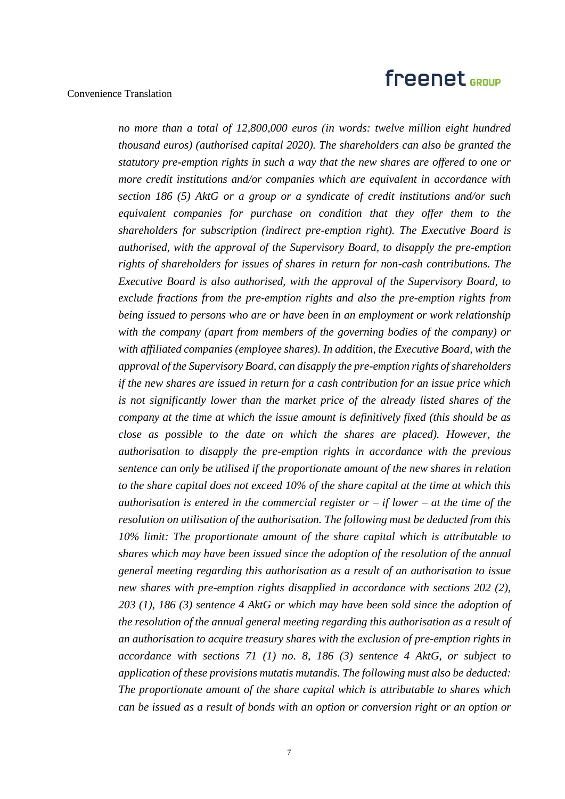### Convenience Translation

*no more than a total of 12,800,000 euros (in words: twelve million eight hundred thousand euros) (authorised capital 2020). The shareholders can also be granted the statutory pre-emption rights in such a way that the new shares are offered to one or more credit institutions and/or companies which are equivalent in accordance with section 186 (5) AktG or a group or a syndicate of credit institutions and/or such equivalent companies for purchase on condition that they offer them to the shareholders for subscription (indirect pre-emption right). The Executive Board is authorised, with the approval of the Supervisory Board, to disapply the pre-emption rights of shareholders for issues of shares in return for non-cash contributions. The Executive Board is also authorised, with the approval of the Supervisory Board, to exclude fractions from the pre-emption rights and also the pre-emption rights from being issued to persons who are or have been in an employment or work relationship with the company (apart from members of the governing bodies of the company) or with affiliated companies (employee shares). In addition, the Executive Board, with the approval of the Supervisory Board, can disapply the pre-emption rights of shareholders if the new shares are issued in return for a cash contribution for an issue price which is not significantly lower than the market price of the already listed shares of the company at the time at which the issue amount is definitively fixed (this should be as close as possible to the date on which the shares are placed). However, the authorisation to disapply the pre-emption rights in accordance with the previous sentence can only be utilised if the proportionate amount of the new shares in relation to the share capital does not exceed 10% of the share capital at the time at which this authorisation is entered in the commercial register or – if lower – at the time of the resolution on utilisation of the authorisation. The following must be deducted from this 10% limit: The proportionate amount of the share capital which is attributable to shares which may have been issued since the adoption of the resolution of the annual general meeting regarding this authorisation as a result of an authorisation to issue new shares with pre-emption rights disapplied in accordance with sections 202 (2), 203 (1), 186 (3) sentence 4 AktG or which may have been sold since the adoption of the resolution of the annual general meeting regarding this authorisation as a result of an authorisation to acquire treasury shares with the exclusion of pre-emption rights in accordance with sections 71 (1) no. 8, 186 (3) sentence 4 AktG, or subject to application of these provisions mutatis mutandis. The following must also be deducted: The proportionate amount of the share capital which is attributable to shares which can be issued as a result of bonds with an option or conversion right or an option or*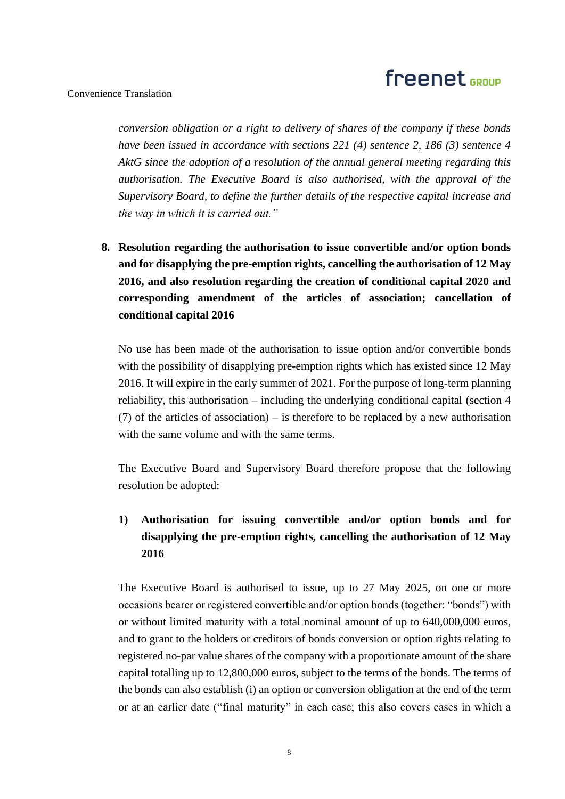### Convenience Translation

*conversion obligation or a right to delivery of shares of the company if these bonds have been issued in accordance with sections 221 (4) sentence 2, 186 (3) sentence 4 AktG since the adoption of a resolution of the annual general meeting regarding this authorisation. The Executive Board is also authorised, with the approval of the Supervisory Board, to define the further details of the respective capital increase and the way in which it is carried out."*

**8. Resolution regarding the authorisation to issue convertible and/or option bonds and for disapplying the pre-emption rights, cancelling the authorisation of 12 May 2016, and also resolution regarding the creation of conditional capital 2020 and corresponding amendment of the articles of association; cancellation of conditional capital 2016**

No use has been made of the authorisation to issue option and/or convertible bonds with the possibility of disapplying pre-emption rights which has existed since 12 May 2016. It will expire in the early summer of 2021. For the purpose of long-term planning reliability, this authorisation – including the underlying conditional capital (section 4 (7) of the articles of association) – is therefore to be replaced by a new authorisation with the same volume and with the same terms.

The Executive Board and Supervisory Board therefore propose that the following resolution be adopted:

### **1) Authorisation for issuing convertible and/or option bonds and for disapplying the pre-emption rights, cancelling the authorisation of 12 May 2016**

The Executive Board is authorised to issue, up to 27 May 2025, on one or more occasions bearer or registered convertible and/or option bonds (together: "bonds") with or without limited maturity with a total nominal amount of up to 640,000,000 euros, and to grant to the holders or creditors of bonds conversion or option rights relating to registered no-par value shares of the company with a proportionate amount of the share capital totalling up to 12,800,000 euros, subject to the terms of the bonds. The terms of the bonds can also establish (i) an option or conversion obligation at the end of the term or at an earlier date ("final maturity" in each case; this also covers cases in which a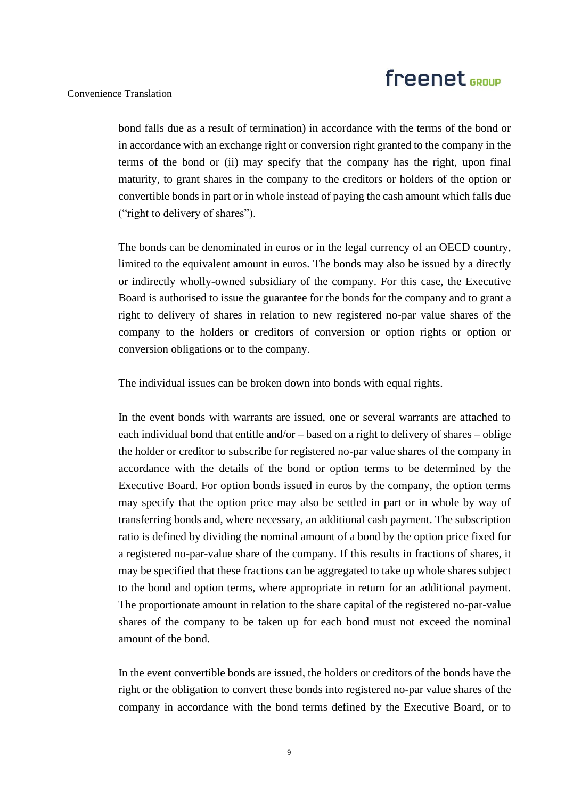#### Convenience Translation

bond falls due as a result of termination) in accordance with the terms of the bond or in accordance with an exchange right or conversion right granted to the company in the terms of the bond or (ii) may specify that the company has the right, upon final maturity, to grant shares in the company to the creditors or holders of the option or convertible bonds in part or in whole instead of paying the cash amount which falls due ("right to delivery of shares").

The bonds can be denominated in euros or in the legal currency of an OECD country, limited to the equivalent amount in euros. The bonds may also be issued by a directly or indirectly wholly-owned subsidiary of the company. For this case, the Executive Board is authorised to issue the guarantee for the bonds for the company and to grant a right to delivery of shares in relation to new registered no-par value shares of the company to the holders or creditors of conversion or option rights or option or conversion obligations or to the company.

The individual issues can be broken down into bonds with equal rights.

In the event bonds with warrants are issued, one or several warrants are attached to each individual bond that entitle and/or – based on a right to delivery of shares – oblige the holder or creditor to subscribe for registered no-par value shares of the company in accordance with the details of the bond or option terms to be determined by the Executive Board. For option bonds issued in euros by the company, the option terms may specify that the option price may also be settled in part or in whole by way of transferring bonds and, where necessary, an additional cash payment. The subscription ratio is defined by dividing the nominal amount of a bond by the option price fixed for a registered no-par-value share of the company. If this results in fractions of shares, it may be specified that these fractions can be aggregated to take up whole shares subject to the bond and option terms, where appropriate in return for an additional payment. The proportionate amount in relation to the share capital of the registered no-par-value shares of the company to be taken up for each bond must not exceed the nominal amount of the bond.

In the event convertible bonds are issued, the holders or creditors of the bonds have the right or the obligation to convert these bonds into registered no-par value shares of the company in accordance with the bond terms defined by the Executive Board, or to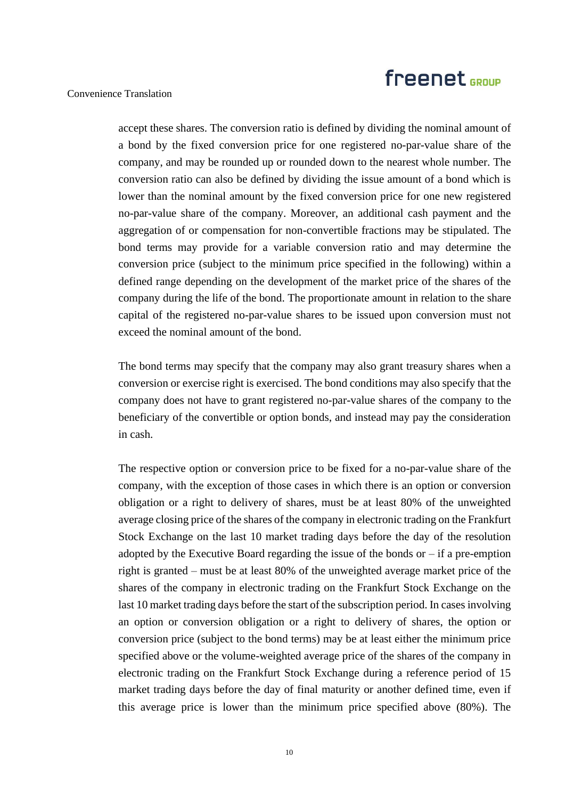#### Convenience Translation

accept these shares. The conversion ratio is defined by dividing the nominal amount of a bond by the fixed conversion price for one registered no-par-value share of the company, and may be rounded up or rounded down to the nearest whole number. The conversion ratio can also be defined by dividing the issue amount of a bond which is lower than the nominal amount by the fixed conversion price for one new registered no-par-value share of the company. Moreover, an additional cash payment and the aggregation of or compensation for non-convertible fractions may be stipulated. The bond terms may provide for a variable conversion ratio and may determine the conversion price (subject to the minimum price specified in the following) within a defined range depending on the development of the market price of the shares of the company during the life of the bond. The proportionate amount in relation to the share capital of the registered no-par-value shares to be issued upon conversion must not exceed the nominal amount of the bond.

The bond terms may specify that the company may also grant treasury shares when a conversion or exercise right is exercised. The bond conditions may also specify that the company does not have to grant registered no-par-value shares of the company to the beneficiary of the convertible or option bonds, and instead may pay the consideration in cash.

The respective option or conversion price to be fixed for a no-par-value share of the company, with the exception of those cases in which there is an option or conversion obligation or a right to delivery of shares, must be at least 80% of the unweighted average closing price of the shares of the company in electronic trading on the Frankfurt Stock Exchange on the last 10 market trading days before the day of the resolution adopted by the Executive Board regarding the issue of the bonds or  $-$  if a pre-emption right is granted – must be at least 80% of the unweighted average market price of the shares of the company in electronic trading on the Frankfurt Stock Exchange on the last 10 market trading days before the start of the subscription period. In cases involving an option or conversion obligation or a right to delivery of shares, the option or conversion price (subject to the bond terms) may be at least either the minimum price specified above or the volume-weighted average price of the shares of the company in electronic trading on the Frankfurt Stock Exchange during a reference period of 15 market trading days before the day of final maturity or another defined time, even if this average price is lower than the minimum price specified above (80%). The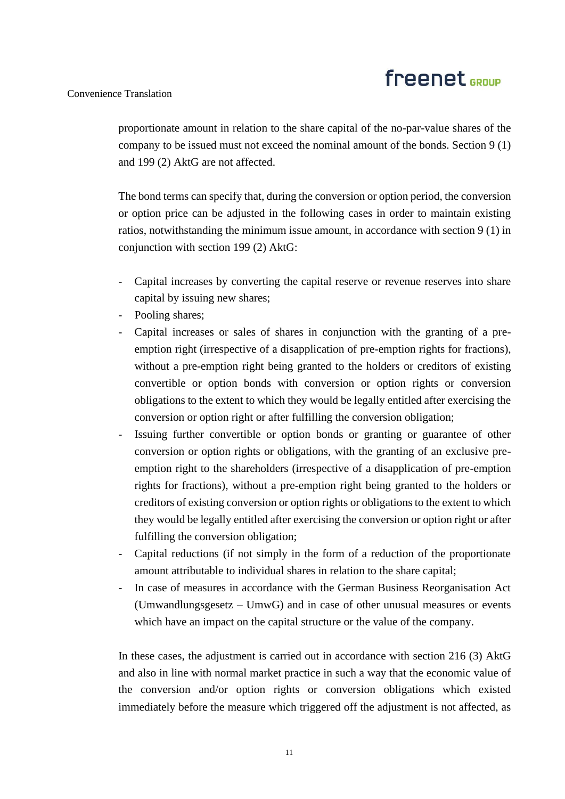### Convenience Translation

proportionate amount in relation to the share capital of the no-par-value shares of the company to be issued must not exceed the nominal amount of the bonds. Section 9 (1) and 199 (2) AktG are not affected.

The bond terms can specify that, during the conversion or option period, the conversion or option price can be adjusted in the following cases in order to maintain existing ratios, notwithstanding the minimum issue amount, in accordance with section 9 (1) in conjunction with section 199 (2) AktG:

- Capital increases by converting the capital reserve or revenue reserves into share capital by issuing new shares;
- Pooling shares;
- Capital increases or sales of shares in conjunction with the granting of a preemption right (irrespective of a disapplication of pre-emption rights for fractions), without a pre-emption right being granted to the holders or creditors of existing convertible or option bonds with conversion or option rights or conversion obligations to the extent to which they would be legally entitled after exercising the conversion or option right or after fulfilling the conversion obligation;
- Issuing further convertible or option bonds or granting or guarantee of other conversion or option rights or obligations, with the granting of an exclusive preemption right to the shareholders (irrespective of a disapplication of pre-emption rights for fractions), without a pre-emption right being granted to the holders or creditors of existing conversion or option rights or obligations to the extent to which they would be legally entitled after exercising the conversion or option right or after fulfilling the conversion obligation;
- Capital reductions (if not simply in the form of a reduction of the proportionate amount attributable to individual shares in relation to the share capital;
- In case of measures in accordance with the German Business Reorganisation Act (Umwandlungsgesetz – UmwG) and in case of other unusual measures or events which have an impact on the capital structure or the value of the company.

In these cases, the adjustment is carried out in accordance with section 216 (3) AktG and also in line with normal market practice in such a way that the economic value of the conversion and/or option rights or conversion obligations which existed immediately before the measure which triggered off the adjustment is not affected, as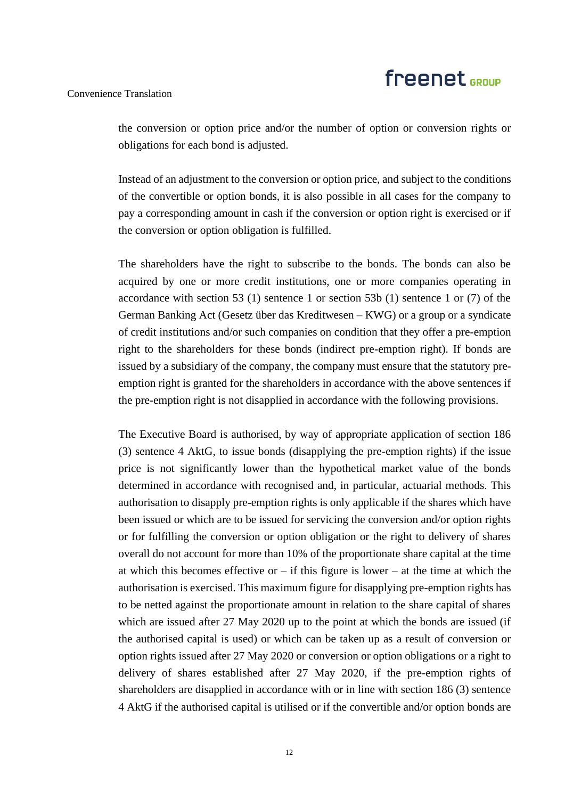#### Convenience Translation

the conversion or option price and/or the number of option or conversion rights or obligations for each bond is adjusted.

Instead of an adjustment to the conversion or option price, and subject to the conditions of the convertible or option bonds, it is also possible in all cases for the company to pay a corresponding amount in cash if the conversion or option right is exercised or if the conversion or option obligation is fulfilled.

The shareholders have the right to subscribe to the bonds. The bonds can also be acquired by one or more credit institutions, one or more companies operating in accordance with section 53 (1) sentence 1 or section 53b (1) sentence 1 or (7) of the German Banking Act (Gesetz über das Kreditwesen – KWG) or a group or a syndicate of credit institutions and/or such companies on condition that they offer a pre-emption right to the shareholders for these bonds (indirect pre-emption right). If bonds are issued by a subsidiary of the company, the company must ensure that the statutory preemption right is granted for the shareholders in accordance with the above sentences if the pre-emption right is not disapplied in accordance with the following provisions.

The Executive Board is authorised, by way of appropriate application of section 186 (3) sentence 4 AktG, to issue bonds (disapplying the pre-emption rights) if the issue price is not significantly lower than the hypothetical market value of the bonds determined in accordance with recognised and, in particular, actuarial methods. This authorisation to disapply pre-emption rights is only applicable if the shares which have been issued or which are to be issued for servicing the conversion and/or option rights or for fulfilling the conversion or option obligation or the right to delivery of shares overall do not account for more than 10% of the proportionate share capital at the time at which this becomes effective or  $-$  if this figure is lower  $-$  at the time at which the authorisation is exercised. This maximum figure for disapplying pre-emption rights has to be netted against the proportionate amount in relation to the share capital of shares which are issued after 27 May 2020 up to the point at which the bonds are issued (if the authorised capital is used) or which can be taken up as a result of conversion or option rights issued after 27 May 2020 or conversion or option obligations or a right to delivery of shares established after 27 May 2020, if the pre-emption rights of shareholders are disapplied in accordance with or in line with section 186 (3) sentence 4 AktG if the authorised capital is utilised or if the convertible and/or option bonds are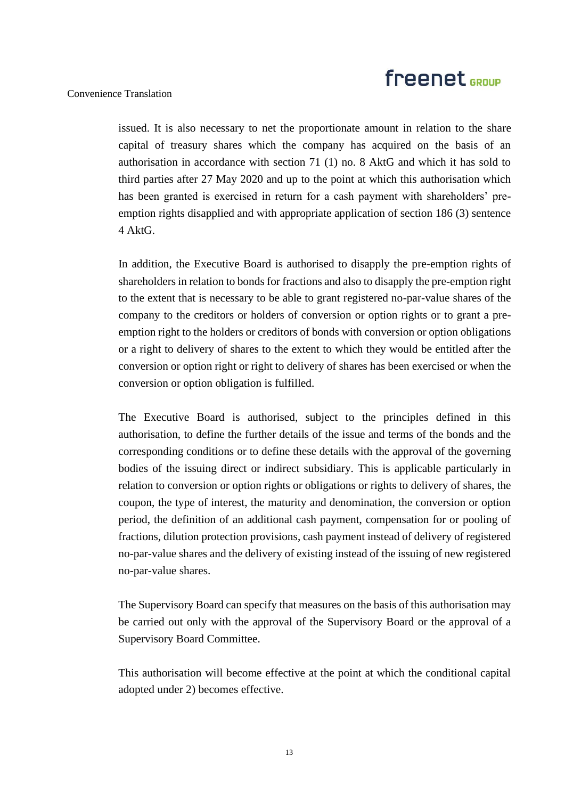#### Convenience Translation

issued. It is also necessary to net the proportionate amount in relation to the share capital of treasury shares which the company has acquired on the basis of an authorisation in accordance with section 71 (1) no. 8 AktG and which it has sold to third parties after 27 May 2020 and up to the point at which this authorisation which has been granted is exercised in return for a cash payment with shareholders' preemption rights disapplied and with appropriate application of section 186 (3) sentence 4 AktG.

In addition, the Executive Board is authorised to disapply the pre-emption rights of shareholders in relation to bonds for fractions and also to disapply the pre-emption right to the extent that is necessary to be able to grant registered no-par-value shares of the company to the creditors or holders of conversion or option rights or to grant a preemption right to the holders or creditors of bonds with conversion or option obligations or a right to delivery of shares to the extent to which they would be entitled after the conversion or option right or right to delivery of shares has been exercised or when the conversion or option obligation is fulfilled.

The Executive Board is authorised, subject to the principles defined in this authorisation, to define the further details of the issue and terms of the bonds and the corresponding conditions or to define these details with the approval of the governing bodies of the issuing direct or indirect subsidiary. This is applicable particularly in relation to conversion or option rights or obligations or rights to delivery of shares, the coupon, the type of interest, the maturity and denomination, the conversion or option period, the definition of an additional cash payment, compensation for or pooling of fractions, dilution protection provisions, cash payment instead of delivery of registered no-par-value shares and the delivery of existing instead of the issuing of new registered no-par-value shares.

The Supervisory Board can specify that measures on the basis of this authorisation may be carried out only with the approval of the Supervisory Board or the approval of a Supervisory Board Committee.

This authorisation will become effective at the point at which the conditional capital adopted under 2) becomes effective.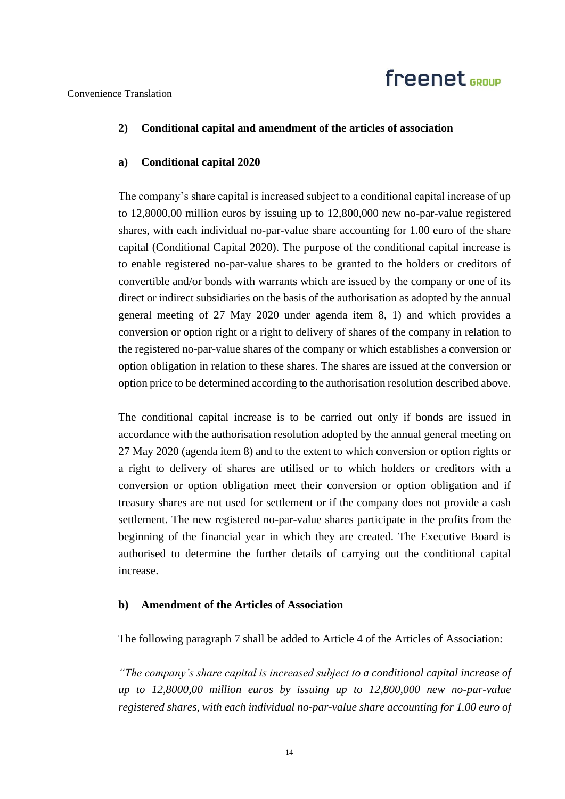Convenience Translation

### **2) Conditional capital and amendment of the articles of association**

### **a) Conditional capital 2020**

The company's share capital is increased subject to a conditional capital increase of up to 12,8000,00 million euros by issuing up to 12,800,000 new no-par-value registered shares, with each individual no-par-value share accounting for 1.00 euro of the share capital (Conditional Capital 2020). The purpose of the conditional capital increase is to enable registered no-par-value shares to be granted to the holders or creditors of convertible and/or bonds with warrants which are issued by the company or one of its direct or indirect subsidiaries on the basis of the authorisation as adopted by the annual general meeting of 27 May 2020 under agenda item 8, 1) and which provides a conversion or option right or a right to delivery of shares of the company in relation to the registered no-par-value shares of the company or which establishes a conversion or option obligation in relation to these shares. The shares are issued at the conversion or option price to be determined according to the authorisation resolution described above.

The conditional capital increase is to be carried out only if bonds are issued in accordance with the authorisation resolution adopted by the annual general meeting on 27 May 2020 (agenda item 8) and to the extent to which conversion or option rights or a right to delivery of shares are utilised or to which holders or creditors with a conversion or option obligation meet their conversion or option obligation and if treasury shares are not used for settlement or if the company does not provide a cash settlement. The new registered no-par-value shares participate in the profits from the beginning of the financial year in which they are created. The Executive Board is authorised to determine the further details of carrying out the conditional capital increase.

### **b) Amendment of the Articles of Association**

The following paragraph 7 shall be added to Article 4 of the Articles of Association:

*"The company's share capital is increased subject to a conditional capital increase of up to 12,8000,00 million euros by issuing up to 12,800,000 new no-par-value registered shares, with each individual no-par-value share accounting for 1.00 euro of*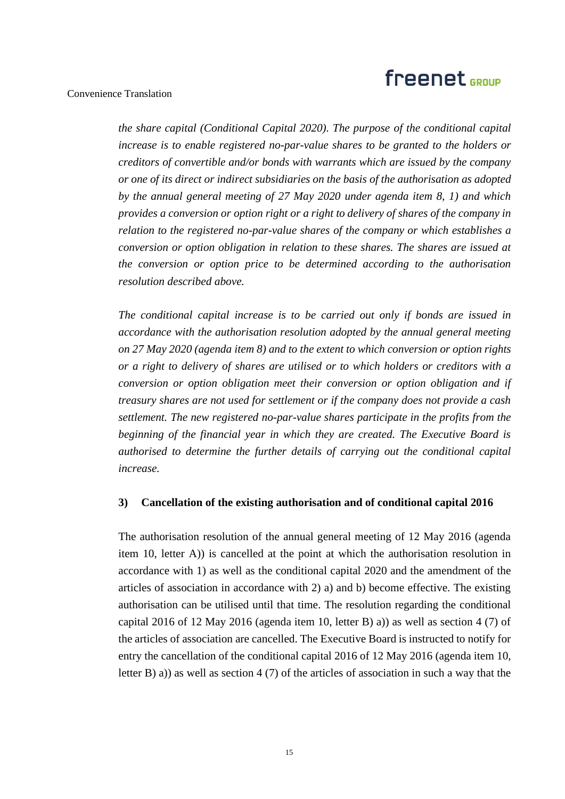#### Convenience Translation

*the share capital (Conditional Capital 2020). The purpose of the conditional capital increase is to enable registered no-par-value shares to be granted to the holders or creditors of convertible and/or bonds with warrants which are issued by the company or one of its direct or indirect subsidiaries on the basis of the authorisation as adopted by the annual general meeting of 27 May 2020 under agenda item 8, 1) and which provides a conversion or option right or a right to delivery of shares of the company in relation to the registered no-par-value shares of the company or which establishes a conversion or option obligation in relation to these shares. The shares are issued at the conversion or option price to be determined according to the authorisation resolution described above.*

*The conditional capital increase is to be carried out only if bonds are issued in accordance with the authorisation resolution adopted by the annual general meeting on 27 May 2020 (agenda item 8) and to the extent to which conversion or option rights or a right to delivery of shares are utilised or to which holders or creditors with a conversion or option obligation meet their conversion or option obligation and if treasury shares are not used for settlement or if the company does not provide a cash settlement. The new registered no-par-value shares participate in the profits from the beginning of the financial year in which they are created. The Executive Board is authorised to determine the further details of carrying out the conditional capital increase.*

#### **3) Cancellation of the existing authorisation and of conditional capital 2016**

The authorisation resolution of the annual general meeting of 12 May 2016 (agenda item 10, letter A)) is cancelled at the point at which the authorisation resolution in accordance with 1) as well as the conditional capital 2020 and the amendment of the articles of association in accordance with 2) a) and b) become effective. The existing authorisation can be utilised until that time. The resolution regarding the conditional capital 2016 of 12 May 2016 (agenda item 10, letter B) a)) as well as section 4 (7) of the articles of association are cancelled. The Executive Board is instructed to notify for entry the cancellation of the conditional capital 2016 of 12 May 2016 (agenda item 10, letter B) a)) as well as section 4 (7) of the articles of association in such a way that the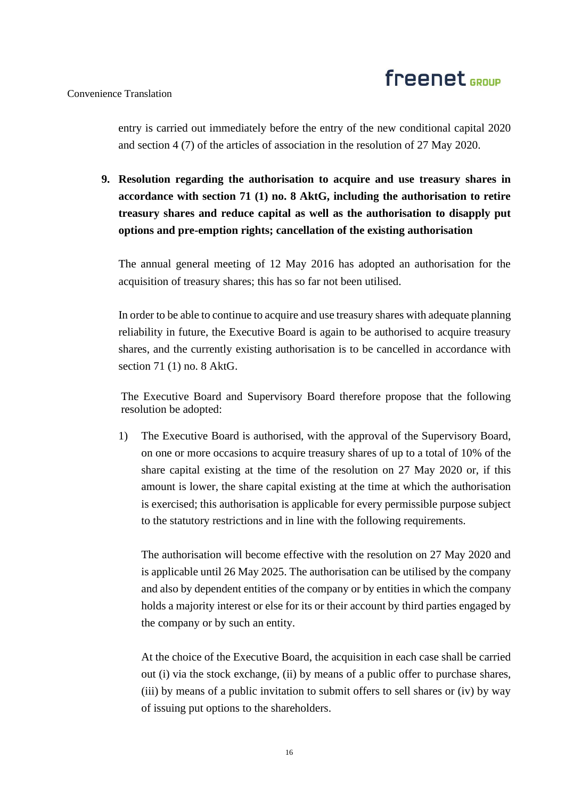#### Convenience Translation

entry is carried out immediately before the entry of the new conditional capital 2020 and section 4 (7) of the articles of association in the resolution of 27 May 2020.

**9. Resolution regarding the authorisation to acquire and use treasury shares in accordance with section 71 (1) no. 8 AktG, including the authorisation to retire treasury shares and reduce capital as well as the authorisation to disapply put options and pre-emption rights; cancellation of the existing authorisation**

The annual general meeting of 12 May 2016 has adopted an authorisation for the acquisition of treasury shares; this has so far not been utilised.

In order to be able to continue to acquire and use treasury shares with adequate planning reliability in future, the Executive Board is again to be authorised to acquire treasury shares, and the currently existing authorisation is to be cancelled in accordance with section 71 (1) no. 8 AktG.

The Executive Board and Supervisory Board therefore propose that the following resolution be adopted:

1) The Executive Board is authorised, with the approval of the Supervisory Board, on one or more occasions to acquire treasury shares of up to a total of 10% of the share capital existing at the time of the resolution on 27 May 2020 or, if this amount is lower, the share capital existing at the time at which the authorisation is exercised; this authorisation is applicable for every permissible purpose subject to the statutory restrictions and in line with the following requirements.

The authorisation will become effective with the resolution on 27 May 2020 and is applicable until 26 May 2025. The authorisation can be utilised by the company and also by dependent entities of the company or by entities in which the company holds a majority interest or else for its or their account by third parties engaged by the company or by such an entity.

At the choice of the Executive Board, the acquisition in each case shall be carried out (i) via the stock exchange, (ii) by means of a public offer to purchase shares, (iii) by means of a public invitation to submit offers to sell shares or (iv) by way of issuing put options to the shareholders.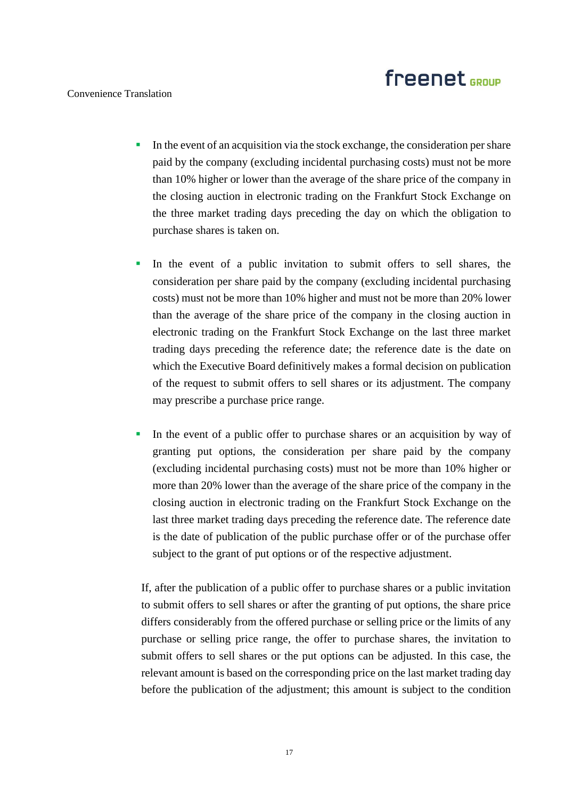#### Convenience Translation

- **I.** In the event of an acquisition via the stock exchange, the consideration per share paid by the company (excluding incidental purchasing costs) must not be more than 10% higher or lower than the average of the share price of the company in the closing auction in electronic trading on the Frankfurt Stock Exchange on the three market trading days preceding the day on which the obligation to purchase shares is taken on.
- In the event of a public invitation to submit offers to sell shares, the consideration per share paid by the company (excluding incidental purchasing costs) must not be more than 10% higher and must not be more than 20% lower than the average of the share price of the company in the closing auction in electronic trading on the Frankfurt Stock Exchange on the last three market trading days preceding the reference date; the reference date is the date on which the Executive Board definitively makes a formal decision on publication of the request to submit offers to sell shares or its adjustment. The company may prescribe a purchase price range.
- In the event of a public offer to purchase shares or an acquisition by way of granting put options, the consideration per share paid by the company (excluding incidental purchasing costs) must not be more than 10% higher or more than 20% lower than the average of the share price of the company in the closing auction in electronic trading on the Frankfurt Stock Exchange on the last three market trading days preceding the reference date. The reference date is the date of publication of the public purchase offer or of the purchase offer subject to the grant of put options or of the respective adjustment.

If, after the publication of a public offer to purchase shares or a public invitation to submit offers to sell shares or after the granting of put options, the share price differs considerably from the offered purchase or selling price or the limits of any purchase or selling price range, the offer to purchase shares, the invitation to submit offers to sell shares or the put options can be adjusted. In this case, the relevant amount is based on the corresponding price on the last market trading day before the publication of the adjustment; this amount is subject to the condition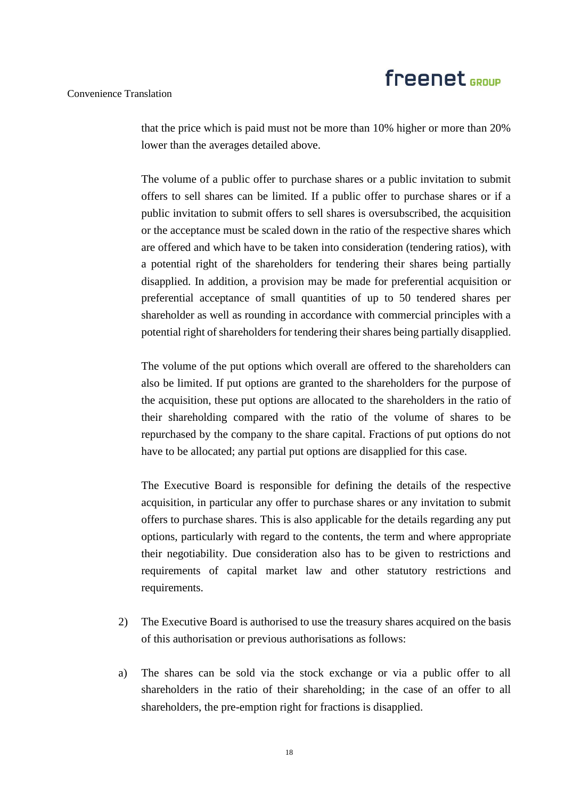#### Convenience Translation

that the price which is paid must not be more than 10% higher or more than 20% lower than the averages detailed above.

The volume of a public offer to purchase shares or a public invitation to submit offers to sell shares can be limited. If a public offer to purchase shares or if a public invitation to submit offers to sell shares is oversubscribed, the acquisition or the acceptance must be scaled down in the ratio of the respective shares which are offered and which have to be taken into consideration (tendering ratios), with a potential right of the shareholders for tendering their shares being partially disapplied. In addition, a provision may be made for preferential acquisition or preferential acceptance of small quantities of up to 50 tendered shares per shareholder as well as rounding in accordance with commercial principles with a potential right of shareholders for tendering their shares being partially disapplied.

The volume of the put options which overall are offered to the shareholders can also be limited. If put options are granted to the shareholders for the purpose of the acquisition, these put options are allocated to the shareholders in the ratio of their shareholding compared with the ratio of the volume of shares to be repurchased by the company to the share capital. Fractions of put options do not have to be allocated; any partial put options are disapplied for this case.

The Executive Board is responsible for defining the details of the respective acquisition, in particular any offer to purchase shares or any invitation to submit offers to purchase shares. This is also applicable for the details regarding any put options, particularly with regard to the contents, the term and where appropriate their negotiability. Due consideration also has to be given to restrictions and requirements of capital market law and other statutory restrictions and requirements.

- 2) The Executive Board is authorised to use the treasury shares acquired on the basis of this authorisation or previous authorisations as follows:
- a) The shares can be sold via the stock exchange or via a public offer to all shareholders in the ratio of their shareholding; in the case of an offer to all shareholders, the pre-emption right for fractions is disapplied.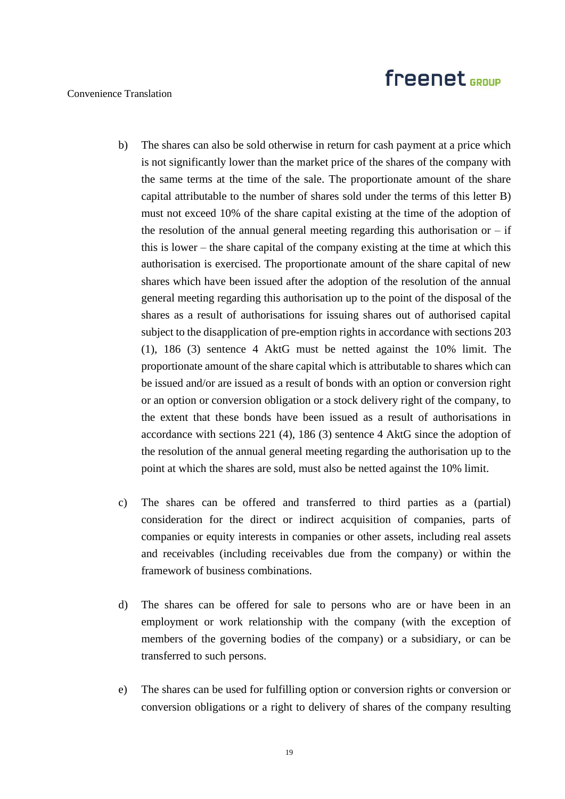### Convenience Translation

- b) The shares can also be sold otherwise in return for cash payment at a price which is not significantly lower than the market price of the shares of the company with the same terms at the time of the sale. The proportionate amount of the share capital attributable to the number of shares sold under the terms of this letter B) must not exceed 10% of the share capital existing at the time of the adoption of the resolution of the annual general meeting regarding this authorisation or  $-$  if this is lower – the share capital of the company existing at the time at which this authorisation is exercised. The proportionate amount of the share capital of new shares which have been issued after the adoption of the resolution of the annual general meeting regarding this authorisation up to the point of the disposal of the shares as a result of authorisations for issuing shares out of authorised capital subject to the disapplication of pre-emption rights in accordance with sections 203 (1), 186 (3) sentence 4 AktG must be netted against the 10% limit. The proportionate amount of the share capital which is attributable to shares which can be issued and/or are issued as a result of bonds with an option or conversion right or an option or conversion obligation or a stock delivery right of the company, to the extent that these bonds have been issued as a result of authorisations in accordance with sections 221 (4), 186 (3) sentence 4 AktG since the adoption of the resolution of the annual general meeting regarding the authorisation up to the point at which the shares are sold, must also be netted against the 10% limit.
- c) The shares can be offered and transferred to third parties as a (partial) consideration for the direct or indirect acquisition of companies, parts of companies or equity interests in companies or other assets, including real assets and receivables (including receivables due from the company) or within the framework of business combinations.
- d) The shares can be offered for sale to persons who are or have been in an employment or work relationship with the company (with the exception of members of the governing bodies of the company) or a subsidiary, or can be transferred to such persons.
- e) The shares can be used for fulfilling option or conversion rights or conversion or conversion obligations or a right to delivery of shares of the company resulting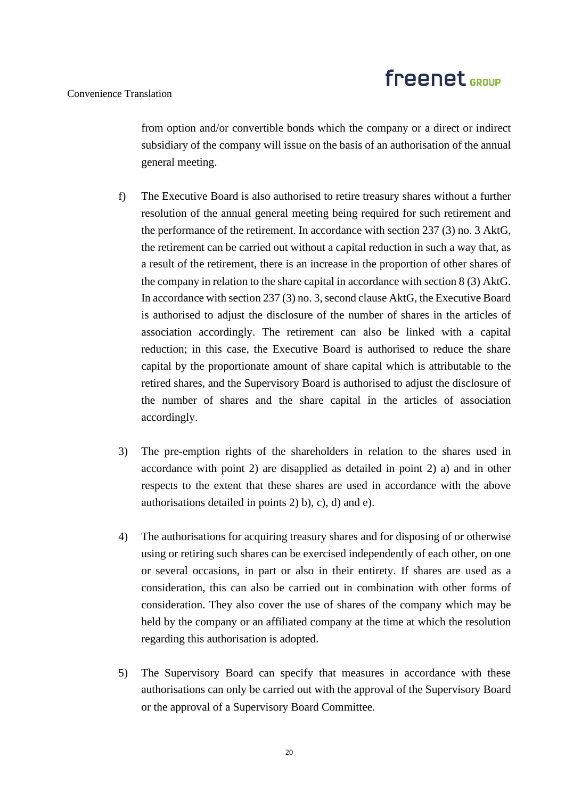#### Convenience Translation

from option and/or convertible bonds which the company or a direct or indirect subsidiary of the company will issue on the basis of an authorisation of the annual general meeting.

- f) The Executive Board is also authorised to retire treasury shares without a further resolution of the annual general meeting being required for such retirement and the performance of the retirement. In accordance with section 237 (3) no. 3 AktG, the retirement can be carried out without a capital reduction in such a way that, as a result of the retirement, there is an increase in the proportion of other shares of the company in relation to the share capital in accordance with section 8 (3) AktG. In accordance with section 237 (3) no. 3, second clause AktG, the Executive Board is authorised to adjust the disclosure of the number of shares in the articles of association accordingly. The retirement can also be linked with a capital reduction; in this case, the Executive Board is authorised to reduce the share capital by the proportionate amount of share capital which is attributable to the retired shares, and the Supervisory Board is authorised to adjust the disclosure of the number of shares and the share capital in the articles of association accordingly.
- 3) The pre-emption rights of the shareholders in relation to the shares used in accordance with point 2) are disapplied as detailed in point 2) a) and in other respects to the extent that these shares are used in accordance with the above authorisations detailed in points 2) b), c), d) and e).
- 4) The authorisations for acquiring treasury shares and for disposing of or otherwise using or retiring such shares can be exercised independently of each other, on one or several occasions, in part or also in their entirety. If shares are used as a consideration, this can also be carried out in combination with other forms of consideration. They also cover the use of shares of the company which may be held by the company or an affiliated company at the time at which the resolution regarding this authorisation is adopted.
- 5) The Supervisory Board can specify that measures in accordance with these authorisations can only be carried out with the approval of the Supervisory Board or the approval of a Supervisory Board Committee.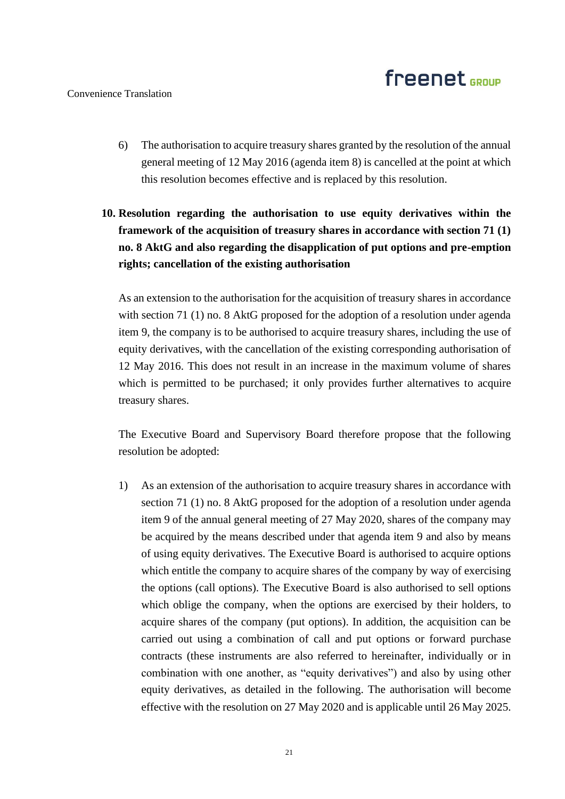- 6) The authorisation to acquire treasury shares granted by the resolution of the annual general meeting of 12 May 2016 (agenda item 8) is cancelled at the point at which this resolution becomes effective and is replaced by this resolution.
- **10. Resolution regarding the authorisation to use equity derivatives within the framework of the acquisition of treasury shares in accordance with section 71 (1) no. 8 AktG and also regarding the disapplication of put options and pre-emption rights; cancellation of the existing authorisation**

As an extension to the authorisation for the acquisition of treasury shares in accordance with section 71 (1) no. 8 AktG proposed for the adoption of a resolution under agenda item 9, the company is to be authorised to acquire treasury shares, including the use of equity derivatives, with the cancellation of the existing corresponding authorisation of 12 May 2016. This does not result in an increase in the maximum volume of shares which is permitted to be purchased; it only provides further alternatives to acquire treasury shares.

The Executive Board and Supervisory Board therefore propose that the following resolution be adopted:

1) As an extension of the authorisation to acquire treasury shares in accordance with section 71 (1) no. 8 AktG proposed for the adoption of a resolution under agenda item 9 of the annual general meeting of 27 May 2020, shares of the company may be acquired by the means described under that agenda item 9 and also by means of using equity derivatives. The Executive Board is authorised to acquire options which entitle the company to acquire shares of the company by way of exercising the options (call options). The Executive Board is also authorised to sell options which oblige the company, when the options are exercised by their holders, to acquire shares of the company (put options). In addition, the acquisition can be carried out using a combination of call and put options or forward purchase contracts (these instruments are also referred to hereinafter, individually or in combination with one another, as "equity derivatives") and also by using other equity derivatives, as detailed in the following. The authorisation will become effective with the resolution on 27 May 2020 and is applicable until 26 May 2025.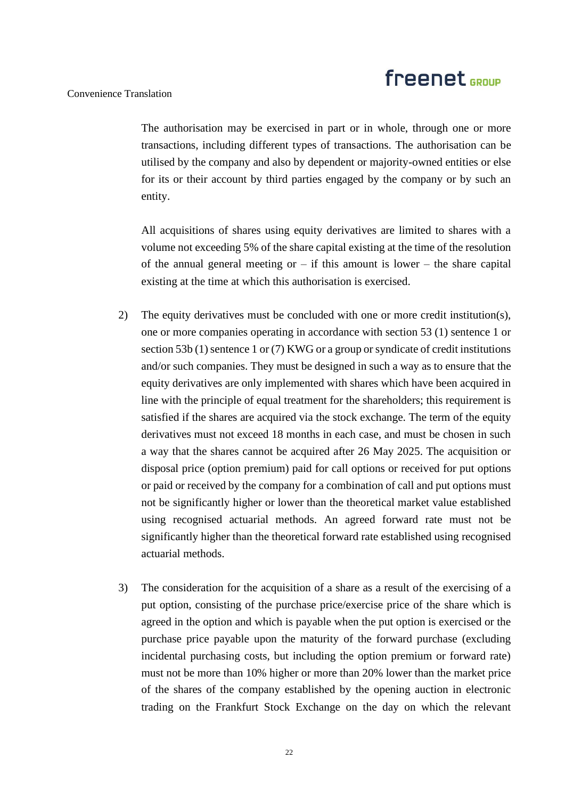#### Convenience Translation

The authorisation may be exercised in part or in whole, through one or more transactions, including different types of transactions. The authorisation can be utilised by the company and also by dependent or majority-owned entities or else for its or their account by third parties engaged by the company or by such an entity.

All acquisitions of shares using equity derivatives are limited to shares with a volume not exceeding 5% of the share capital existing at the time of the resolution of the annual general meeting or  $-$  if this amount is lower  $-$  the share capital existing at the time at which this authorisation is exercised.

- 2) The equity derivatives must be concluded with one or more credit institution(s), one or more companies operating in accordance with section 53 (1) sentence 1 or section 53b (1) sentence 1 or (7) KWG or a group or syndicate of credit institutions and/or such companies. They must be designed in such a way as to ensure that the equity derivatives are only implemented with shares which have been acquired in line with the principle of equal treatment for the shareholders; this requirement is satisfied if the shares are acquired via the stock exchange. The term of the equity derivatives must not exceed 18 months in each case, and must be chosen in such a way that the shares cannot be acquired after 26 May 2025. The acquisition or disposal price (option premium) paid for call options or received for put options or paid or received by the company for a combination of call and put options must not be significantly higher or lower than the theoretical market value established using recognised actuarial methods. An agreed forward rate must not be significantly higher than the theoretical forward rate established using recognised actuarial methods.
- 3) The consideration for the acquisition of a share as a result of the exercising of a put option, consisting of the purchase price/exercise price of the share which is agreed in the option and which is payable when the put option is exercised or the purchase price payable upon the maturity of the forward purchase (excluding incidental purchasing costs, but including the option premium or forward rate) must not be more than 10% higher or more than 20% lower than the market price of the shares of the company established by the opening auction in electronic trading on the Frankfurt Stock Exchange on the day on which the relevant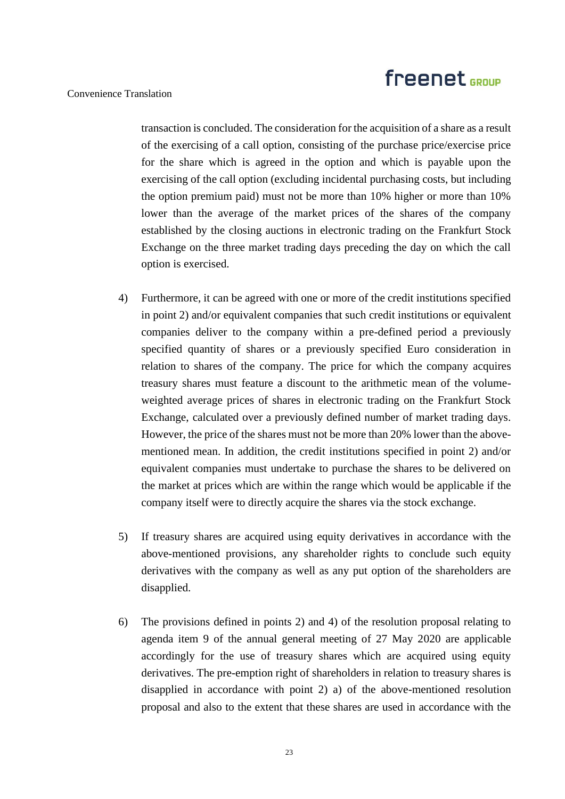#### Convenience Translation

transaction is concluded. The consideration for the acquisition of a share as a result of the exercising of a call option, consisting of the purchase price/exercise price for the share which is agreed in the option and which is payable upon the exercising of the call option (excluding incidental purchasing costs, but including the option premium paid) must not be more than 10% higher or more than 10% lower than the average of the market prices of the shares of the company established by the closing auctions in electronic trading on the Frankfurt Stock Exchange on the three market trading days preceding the day on which the call option is exercised.

- 4) Furthermore, it can be agreed with one or more of the credit institutions specified in point 2) and/or equivalent companies that such credit institutions or equivalent companies deliver to the company within a pre-defined period a previously specified quantity of shares or a previously specified Euro consideration in relation to shares of the company. The price for which the company acquires treasury shares must feature a discount to the arithmetic mean of the volumeweighted average prices of shares in electronic trading on the Frankfurt Stock Exchange, calculated over a previously defined number of market trading days. However, the price of the shares must not be more than 20% lower than the abovementioned mean. In addition, the credit institutions specified in point 2) and/or equivalent companies must undertake to purchase the shares to be delivered on the market at prices which are within the range which would be applicable if the company itself were to directly acquire the shares via the stock exchange.
- 5) If treasury shares are acquired using equity derivatives in accordance with the above-mentioned provisions, any shareholder rights to conclude such equity derivatives with the company as well as any put option of the shareholders are disapplied.
- 6) The provisions defined in points 2) and 4) of the resolution proposal relating to agenda item 9 of the annual general meeting of 27 May 2020 are applicable accordingly for the use of treasury shares which are acquired using equity derivatives. The pre-emption right of shareholders in relation to treasury shares is disapplied in accordance with point 2) a) of the above-mentioned resolution proposal and also to the extent that these shares are used in accordance with the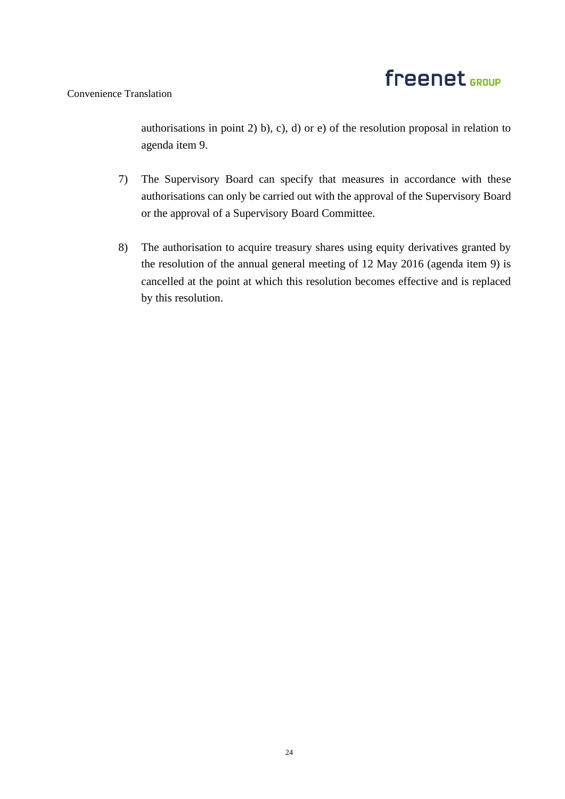### Convenience Translation

authorisations in point 2) b), c), d) or e) of the resolution proposal in relation to agenda item 9.

- 7) The Supervisory Board can specify that measures in accordance with these authorisations can only be carried out with the approval of the Supervisory Board or the approval of a Supervisory Board Committee.
- 8) The authorisation to acquire treasury shares using equity derivatives granted by the resolution of the annual general meeting of 12 May 2016 (agenda item 9) is cancelled at the point at which this resolution becomes effective and is replaced by this resolution.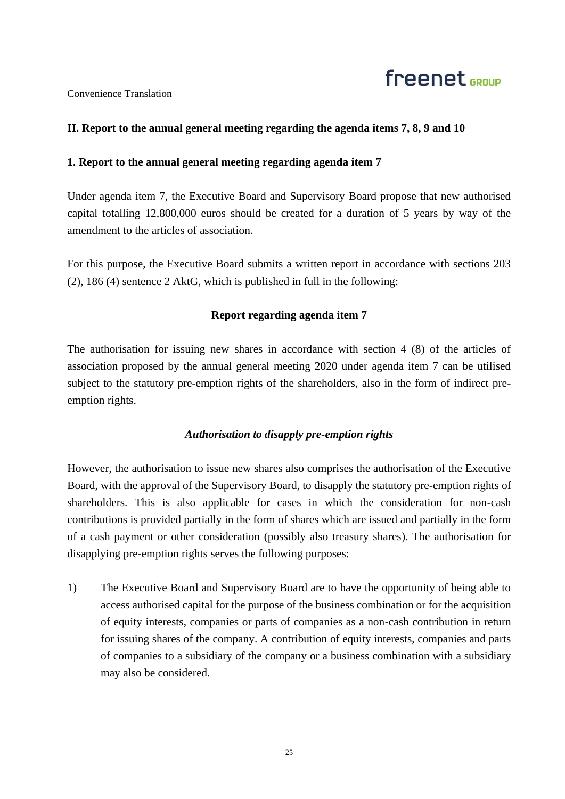## freenet <sub>GROUP</sub>

Convenience Translation

### **II. Report to the annual general meeting regarding the agenda items 7, 8, 9 and 10**

### **1. Report to the annual general meeting regarding agenda item 7**

Under agenda item 7, the Executive Board and Supervisory Board propose that new authorised capital totalling 12,800,000 euros should be created for a duration of 5 years by way of the amendment to the articles of association.

For this purpose, the Executive Board submits a written report in accordance with sections 203 (2), 186 (4) sentence 2 AktG, which is published in full in the following:

### **Report regarding agenda item 7**

The authorisation for issuing new shares in accordance with section 4 (8) of the articles of association proposed by the annual general meeting 2020 under agenda item 7 can be utilised subject to the statutory pre-emption rights of the shareholders, also in the form of indirect preemption rights.

### *Authorisation to disapply pre-emption rights*

However, the authorisation to issue new shares also comprises the authorisation of the Executive Board, with the approval of the Supervisory Board, to disapply the statutory pre-emption rights of shareholders. This is also applicable for cases in which the consideration for non-cash contributions is provided partially in the form of shares which are issued and partially in the form of a cash payment or other consideration (possibly also treasury shares). The authorisation for disapplying pre-emption rights serves the following purposes:

1) The Executive Board and Supervisory Board are to have the opportunity of being able to access authorised capital for the purpose of the business combination or for the acquisition of equity interests, companies or parts of companies as a non-cash contribution in return for issuing shares of the company. A contribution of equity interests, companies and parts of companies to a subsidiary of the company or a business combination with a subsidiary may also be considered.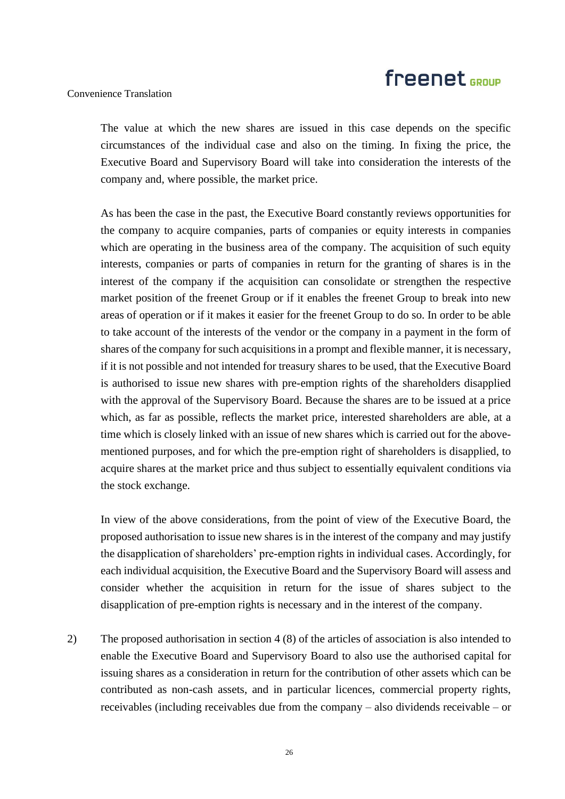### Convenience Translation

The value at which the new shares are issued in this case depends on the specific circumstances of the individual case and also on the timing. In fixing the price, the Executive Board and Supervisory Board will take into consideration the interests of the company and, where possible, the market price.

As has been the case in the past, the Executive Board constantly reviews opportunities for the company to acquire companies, parts of companies or equity interests in companies which are operating in the business area of the company. The acquisition of such equity interests, companies or parts of companies in return for the granting of shares is in the interest of the company if the acquisition can consolidate or strengthen the respective market position of the freenet Group or if it enables the freenet Group to break into new areas of operation or if it makes it easier for the freenet Group to do so. In order to be able to take account of the interests of the vendor or the company in a payment in the form of shares of the company for such acquisitions in a prompt and flexible manner, it is necessary, if it is not possible and not intended for treasury shares to be used, that the Executive Board is authorised to issue new shares with pre-emption rights of the shareholders disapplied with the approval of the Supervisory Board. Because the shares are to be issued at a price which, as far as possible, reflects the market price, interested shareholders are able, at a time which is closely linked with an issue of new shares which is carried out for the abovementioned purposes, and for which the pre-emption right of shareholders is disapplied, to acquire shares at the market price and thus subject to essentially equivalent conditions via the stock exchange.

In view of the above considerations, from the point of view of the Executive Board, the proposed authorisation to issue new shares is in the interest of the company and may justify the disapplication of shareholders' pre-emption rights in individual cases. Accordingly, for each individual acquisition, the Executive Board and the Supervisory Board will assess and consider whether the acquisition in return for the issue of shares subject to the disapplication of pre-emption rights is necessary and in the interest of the company.

2) The proposed authorisation in section 4 (8) of the articles of association is also intended to enable the Executive Board and Supervisory Board to also use the authorised capital for issuing shares as a consideration in return for the contribution of other assets which can be contributed as non-cash assets, and in particular licences, commercial property rights, receivables (including receivables due from the company – also dividends receivable – or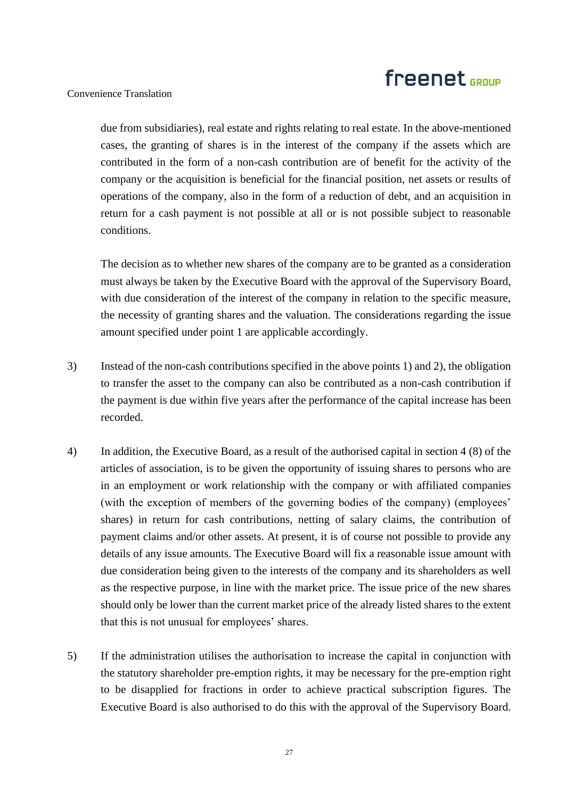Convenience Translation

due from subsidiaries), real estate and rights relating to real estate. In the above-mentioned cases, the granting of shares is in the interest of the company if the assets which are contributed in the form of a non-cash contribution are of benefit for the activity of the company or the acquisition is beneficial for the financial position, net assets or results of operations of the company, also in the form of a reduction of debt, and an acquisition in return for a cash payment is not possible at all or is not possible subject to reasonable conditions.

The decision as to whether new shares of the company are to be granted as a consideration must always be taken by the Executive Board with the approval of the Supervisory Board, with due consideration of the interest of the company in relation to the specific measure, the necessity of granting shares and the valuation. The considerations regarding the issue amount specified under point 1 are applicable accordingly.

- 3) Instead of the non-cash contributions specified in the above points 1) and 2), the obligation to transfer the asset to the company can also be contributed as a non-cash contribution if the payment is due within five years after the performance of the capital increase has been recorded.
- 4) In addition, the Executive Board, as a result of the authorised capital in section 4 (8) of the articles of association, is to be given the opportunity of issuing shares to persons who are in an employment or work relationship with the company or with affiliated companies (with the exception of members of the governing bodies of the company) (employees' shares) in return for cash contributions, netting of salary claims, the contribution of payment claims and/or other assets. At present, it is of course not possible to provide any details of any issue amounts. The Executive Board will fix a reasonable issue amount with due consideration being given to the interests of the company and its shareholders as well as the respective purpose, in line with the market price. The issue price of the new shares should only be lower than the current market price of the already listed shares to the extent that this is not unusual for employees' shares.
- 5) If the administration utilises the authorisation to increase the capital in conjunction with the statutory shareholder pre-emption rights, it may be necessary for the pre-emption right to be disapplied for fractions in order to achieve practical subscription figures. The Executive Board is also authorised to do this with the approval of the Supervisory Board.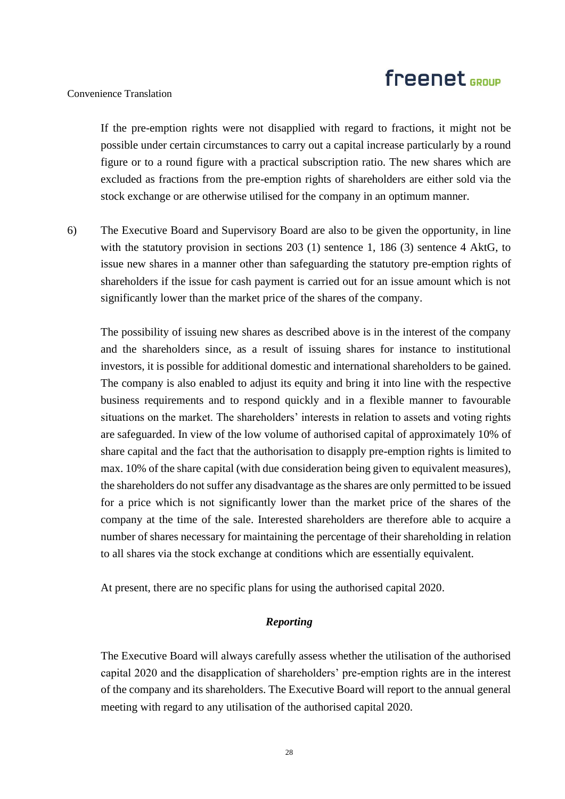#### Convenience Translation

If the pre-emption rights were not disapplied with regard to fractions, it might not be possible under certain circumstances to carry out a capital increase particularly by a round figure or to a round figure with a practical subscription ratio. The new shares which are excluded as fractions from the pre-emption rights of shareholders are either sold via the stock exchange or are otherwise utilised for the company in an optimum manner.

6) The Executive Board and Supervisory Board are also to be given the opportunity, in line with the statutory provision in sections 203 (1) sentence 1, 186 (3) sentence 4 AktG, to issue new shares in a manner other than safeguarding the statutory pre-emption rights of shareholders if the issue for cash payment is carried out for an issue amount which is not significantly lower than the market price of the shares of the company.

The possibility of issuing new shares as described above is in the interest of the company and the shareholders since, as a result of issuing shares for instance to institutional investors, it is possible for additional domestic and international shareholders to be gained. The company is also enabled to adjust its equity and bring it into line with the respective business requirements and to respond quickly and in a flexible manner to favourable situations on the market. The shareholders' interests in relation to assets and voting rights are safeguarded. In view of the low volume of authorised capital of approximately 10% of share capital and the fact that the authorisation to disapply pre-emption rights is limited to max. 10% of the share capital (with due consideration being given to equivalent measures), the shareholders do not suffer any disadvantage as the shares are only permitted to be issued for a price which is not significantly lower than the market price of the shares of the company at the time of the sale. Interested shareholders are therefore able to acquire a number of shares necessary for maintaining the percentage of their shareholding in relation to all shares via the stock exchange at conditions which are essentially equivalent.

At present, there are no specific plans for using the authorised capital 2020.

### *Reporting*

The Executive Board will always carefully assess whether the utilisation of the authorised capital 2020 and the disapplication of shareholders' pre-emption rights are in the interest of the company and its shareholders. The Executive Board will report to the annual general meeting with regard to any utilisation of the authorised capital 2020.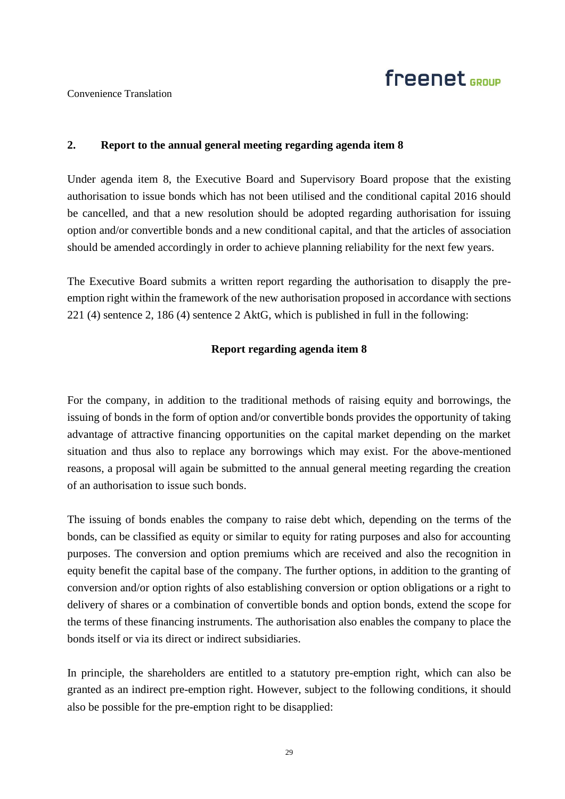## freenet <sub>GROUP</sub>

### Convenience Translation

### **2. Report to the annual general meeting regarding agenda item 8**

Under agenda item 8, the Executive Board and Supervisory Board propose that the existing authorisation to issue bonds which has not been utilised and the conditional capital 2016 should be cancelled, and that a new resolution should be adopted regarding authorisation for issuing option and/or convertible bonds and a new conditional capital, and that the articles of association should be amended accordingly in order to achieve planning reliability for the next few years.

The Executive Board submits a written report regarding the authorisation to disapply the preemption right within the framework of the new authorisation proposed in accordance with sections 221 (4) sentence 2, 186 (4) sentence 2 AktG, which is published in full in the following:

### **Report regarding agenda item 8**

For the company, in addition to the traditional methods of raising equity and borrowings, the issuing of bonds in the form of option and/or convertible bonds provides the opportunity of taking advantage of attractive financing opportunities on the capital market depending on the market situation and thus also to replace any borrowings which may exist. For the above-mentioned reasons, a proposal will again be submitted to the annual general meeting regarding the creation of an authorisation to issue such bonds.

The issuing of bonds enables the company to raise debt which, depending on the terms of the bonds, can be classified as equity or similar to equity for rating purposes and also for accounting purposes. The conversion and option premiums which are received and also the recognition in equity benefit the capital base of the company. The further options, in addition to the granting of conversion and/or option rights of also establishing conversion or option obligations or a right to delivery of shares or a combination of convertible bonds and option bonds, extend the scope for the terms of these financing instruments. The authorisation also enables the company to place the bonds itself or via its direct or indirect subsidiaries.

In principle, the shareholders are entitled to a statutory pre-emption right, which can also be granted as an indirect pre-emption right. However, subject to the following conditions, it should also be possible for the pre-emption right to be disapplied: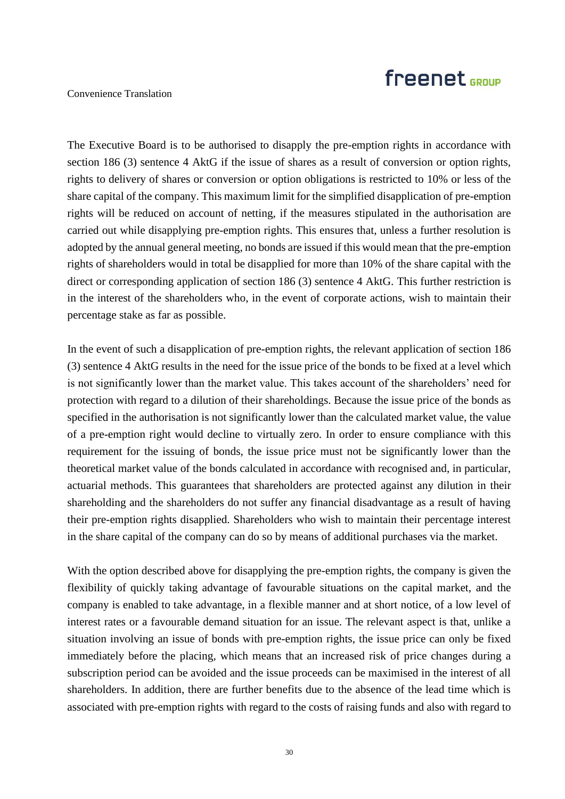### Convenience Translation

The Executive Board is to be authorised to disapply the pre-emption rights in accordance with section 186 (3) sentence 4 AktG if the issue of shares as a result of conversion or option rights, rights to delivery of shares or conversion or option obligations is restricted to 10% or less of the share capital of the company. This maximum limit for the simplified disapplication of pre-emption rights will be reduced on account of netting, if the measures stipulated in the authorisation are carried out while disapplying pre-emption rights. This ensures that, unless a further resolution is adopted by the annual general meeting, no bonds are issued if this would mean that the pre-emption rights of shareholders would in total be disapplied for more than 10% of the share capital with the direct or corresponding application of section 186 (3) sentence 4 AktG. This further restriction is in the interest of the shareholders who, in the event of corporate actions, wish to maintain their percentage stake as far as possible.

In the event of such a disapplication of pre-emption rights, the relevant application of section 186 (3) sentence 4 AktG results in the need for the issue price of the bonds to be fixed at a level which is not significantly lower than the market value. This takes account of the shareholders' need for protection with regard to a dilution of their shareholdings. Because the issue price of the bonds as specified in the authorisation is not significantly lower than the calculated market value, the value of a pre-emption right would decline to virtually zero. In order to ensure compliance with this requirement for the issuing of bonds, the issue price must not be significantly lower than the theoretical market value of the bonds calculated in accordance with recognised and, in particular, actuarial methods. This guarantees that shareholders are protected against any dilution in their shareholding and the shareholders do not suffer any financial disadvantage as a result of having their pre-emption rights disapplied. Shareholders who wish to maintain their percentage interest in the share capital of the company can do so by means of additional purchases via the market.

With the option described above for disapplying the pre-emption rights, the company is given the flexibility of quickly taking advantage of favourable situations on the capital market, and the company is enabled to take advantage, in a flexible manner and at short notice, of a low level of interest rates or a favourable demand situation for an issue. The relevant aspect is that, unlike a situation involving an issue of bonds with pre-emption rights, the issue price can only be fixed immediately before the placing, which means that an increased risk of price changes during a subscription period can be avoided and the issue proceeds can be maximised in the interest of all shareholders. In addition, there are further benefits due to the absence of the lead time which is associated with pre-emption rights with regard to the costs of raising funds and also with regard to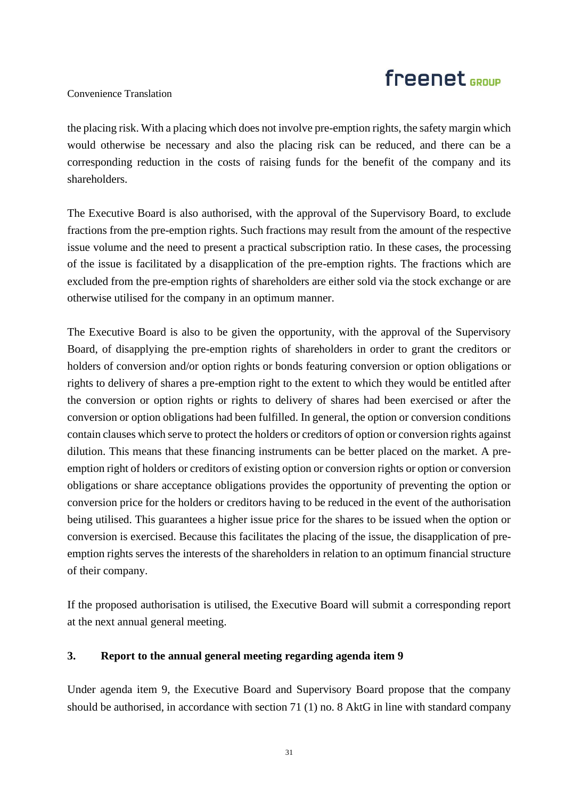### Convenience Translation

the placing risk. With a placing which does not involve pre-emption rights, the safety margin which would otherwise be necessary and also the placing risk can be reduced, and there can be a corresponding reduction in the costs of raising funds for the benefit of the company and its shareholders.

The Executive Board is also authorised, with the approval of the Supervisory Board, to exclude fractions from the pre-emption rights. Such fractions may result from the amount of the respective issue volume and the need to present a practical subscription ratio. In these cases, the processing of the issue is facilitated by a disapplication of the pre-emption rights. The fractions which are excluded from the pre-emption rights of shareholders are either sold via the stock exchange or are otherwise utilised for the company in an optimum manner.

The Executive Board is also to be given the opportunity, with the approval of the Supervisory Board, of disapplying the pre-emption rights of shareholders in order to grant the creditors or holders of conversion and/or option rights or bonds featuring conversion or option obligations or rights to delivery of shares a pre-emption right to the extent to which they would be entitled after the conversion or option rights or rights to delivery of shares had been exercised or after the conversion or option obligations had been fulfilled. In general, the option or conversion conditions contain clauses which serve to protect the holders or creditors of option or conversion rights against dilution. This means that these financing instruments can be better placed on the market. A preemption right of holders or creditors of existing option or conversion rights or option or conversion obligations or share acceptance obligations provides the opportunity of preventing the option or conversion price for the holders or creditors having to be reduced in the event of the authorisation being utilised. This guarantees a higher issue price for the shares to be issued when the option or conversion is exercised. Because this facilitates the placing of the issue, the disapplication of preemption rights serves the interests of the shareholders in relation to an optimum financial structure of their company.

If the proposed authorisation is utilised, the Executive Board will submit a corresponding report at the next annual general meeting.

### **3. Report to the annual general meeting regarding agenda item 9**

Under agenda item 9, the Executive Board and Supervisory Board propose that the company should be authorised, in accordance with section 71 (1) no. 8 AktG in line with standard company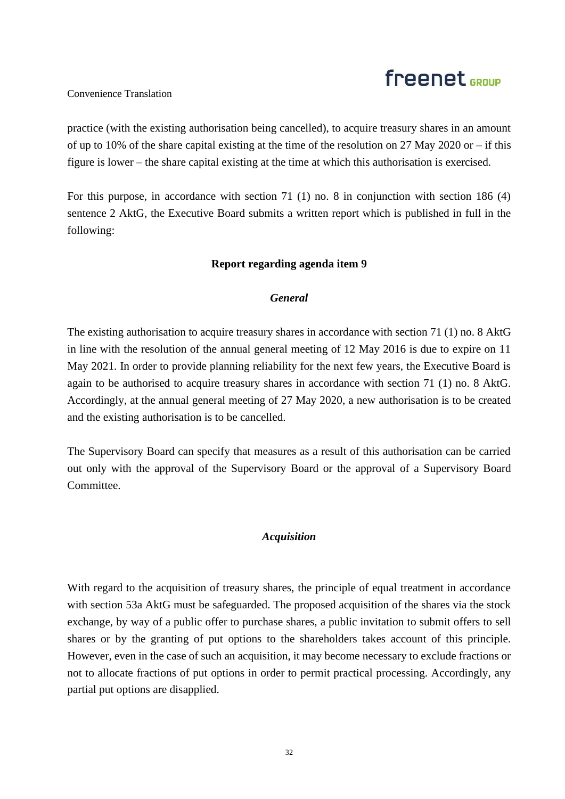### Convenience Translation

practice (with the existing authorisation being cancelled), to acquire treasury shares in an amount of up to 10% of the share capital existing at the time of the resolution on 27 May 2020 or – if this figure is lower – the share capital existing at the time at which this authorisation is exercised.

For this purpose, in accordance with section 71 (1) no. 8 in conjunction with section 186 (4) sentence 2 AktG, the Executive Board submits a written report which is published in full in the following:

### **Report regarding agenda item 9**

### *General*

The existing authorisation to acquire treasury shares in accordance with section 71 (1) no. 8 AktG in line with the resolution of the annual general meeting of 12 May 2016 is due to expire on 11 May 2021. In order to provide planning reliability for the next few years, the Executive Board is again to be authorised to acquire treasury shares in accordance with section 71 (1) no. 8 AktG. Accordingly, at the annual general meeting of 27 May 2020, a new authorisation is to be created and the existing authorisation is to be cancelled.

The Supervisory Board can specify that measures as a result of this authorisation can be carried out only with the approval of the Supervisory Board or the approval of a Supervisory Board Committee.

### *Acquisition*

With regard to the acquisition of treasury shares, the principle of equal treatment in accordance with section 53a AktG must be safeguarded. The proposed acquisition of the shares via the stock exchange, by way of a public offer to purchase shares, a public invitation to submit offers to sell shares or by the granting of put options to the shareholders takes account of this principle. However, even in the case of such an acquisition, it may become necessary to exclude fractions or not to allocate fractions of put options in order to permit practical processing. Accordingly, any partial put options are disapplied.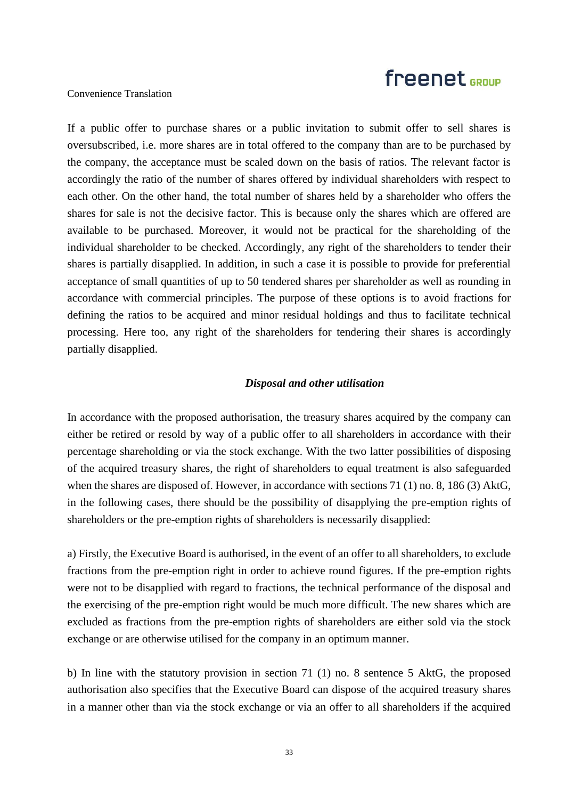### Convenience Translation

If a public offer to purchase shares or a public invitation to submit offer to sell shares is oversubscribed, i.e. more shares are in total offered to the company than are to be purchased by the company, the acceptance must be scaled down on the basis of ratios. The relevant factor is accordingly the ratio of the number of shares offered by individual shareholders with respect to each other. On the other hand, the total number of shares held by a shareholder who offers the shares for sale is not the decisive factor. This is because only the shares which are offered are available to be purchased. Moreover, it would not be practical for the shareholding of the individual shareholder to be checked. Accordingly, any right of the shareholders to tender their shares is partially disapplied. In addition, in such a case it is possible to provide for preferential acceptance of small quantities of up to 50 tendered shares per shareholder as well as rounding in accordance with commercial principles. The purpose of these options is to avoid fractions for defining the ratios to be acquired and minor residual holdings and thus to facilitate technical processing. Here too, any right of the shareholders for tendering their shares is accordingly partially disapplied.

#### *Disposal and other utilisation*

In accordance with the proposed authorisation, the treasury shares acquired by the company can either be retired or resold by way of a public offer to all shareholders in accordance with their percentage shareholding or via the stock exchange. With the two latter possibilities of disposing of the acquired treasury shares, the right of shareholders to equal treatment is also safeguarded when the shares are disposed of. However, in accordance with sections 71 (1) no. 8, 186 (3) AktG, in the following cases, there should be the possibility of disapplying the pre-emption rights of shareholders or the pre-emption rights of shareholders is necessarily disapplied:

a) Firstly, the Executive Board is authorised, in the event of an offer to all shareholders, to exclude fractions from the pre-emption right in order to achieve round figures. If the pre-emption rights were not to be disapplied with regard to fractions, the technical performance of the disposal and the exercising of the pre-emption right would be much more difficult. The new shares which are excluded as fractions from the pre-emption rights of shareholders are either sold via the stock exchange or are otherwise utilised for the company in an optimum manner.

b) In line with the statutory provision in section 71 (1) no. 8 sentence 5 AktG, the proposed authorisation also specifies that the Executive Board can dispose of the acquired treasury shares in a manner other than via the stock exchange or via an offer to all shareholders if the acquired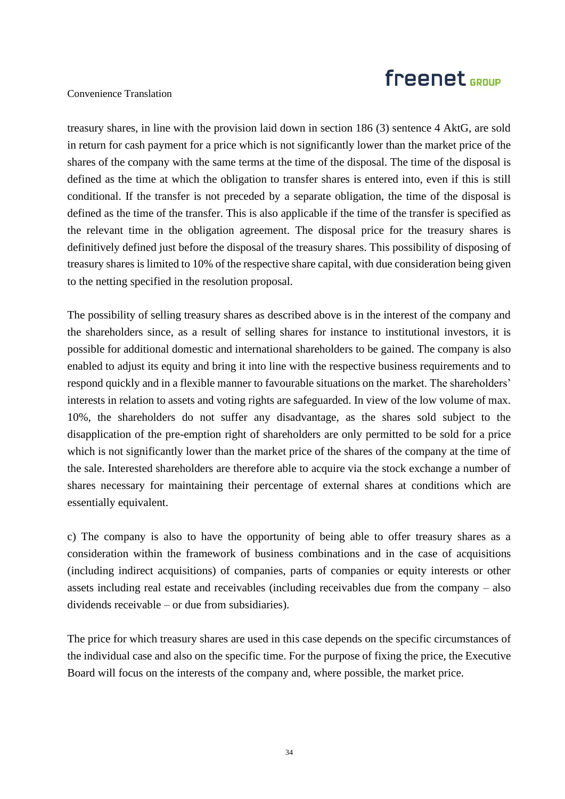### Convenience Translation

treasury shares, in line with the provision laid down in section 186 (3) sentence 4 AktG, are sold in return for cash payment for a price which is not significantly lower than the market price of the shares of the company with the same terms at the time of the disposal. The time of the disposal is defined as the time at which the obligation to transfer shares is entered into, even if this is still conditional. If the transfer is not preceded by a separate obligation, the time of the disposal is defined as the time of the transfer. This is also applicable if the time of the transfer is specified as the relevant time in the obligation agreement. The disposal price for the treasury shares is definitively defined just before the disposal of the treasury shares. This possibility of disposing of treasury shares is limited to 10% of the respective share capital, with due consideration being given to the netting specified in the resolution proposal.

The possibility of selling treasury shares as described above is in the interest of the company and the shareholders since, as a result of selling shares for instance to institutional investors, it is possible for additional domestic and international shareholders to be gained. The company is also enabled to adjust its equity and bring it into line with the respective business requirements and to respond quickly and in a flexible manner to favourable situations on the market. The shareholders' interests in relation to assets and voting rights are safeguarded. In view of the low volume of max. 10%, the shareholders do not suffer any disadvantage, as the shares sold subject to the disapplication of the pre-emption right of shareholders are only permitted to be sold for a price which is not significantly lower than the market price of the shares of the company at the time of the sale. Interested shareholders are therefore able to acquire via the stock exchange a number of shares necessary for maintaining their percentage of external shares at conditions which are essentially equivalent.

c) The company is also to have the opportunity of being able to offer treasury shares as a consideration within the framework of business combinations and in the case of acquisitions (including indirect acquisitions) of companies, parts of companies or equity interests or other assets including real estate and receivables (including receivables due from the company – also dividends receivable – or due from subsidiaries).

The price for which treasury shares are used in this case depends on the specific circumstances of the individual case and also on the specific time. For the purpose of fixing the price, the Executive Board will focus on the interests of the company and, where possible, the market price.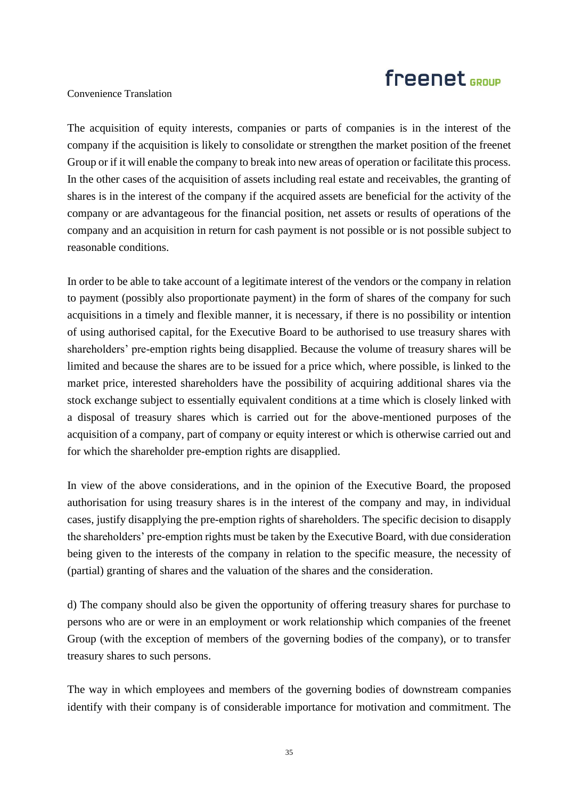### Convenience Translation

The acquisition of equity interests, companies or parts of companies is in the interest of the company if the acquisition is likely to consolidate or strengthen the market position of the freenet Group or if it will enable the company to break into new areas of operation or facilitate this process. In the other cases of the acquisition of assets including real estate and receivables, the granting of shares is in the interest of the company if the acquired assets are beneficial for the activity of the company or are advantageous for the financial position, net assets or results of operations of the company and an acquisition in return for cash payment is not possible or is not possible subject to reasonable conditions.

In order to be able to take account of a legitimate interest of the vendors or the company in relation to payment (possibly also proportionate payment) in the form of shares of the company for such acquisitions in a timely and flexible manner, it is necessary, if there is no possibility or intention of using authorised capital, for the Executive Board to be authorised to use treasury shares with shareholders' pre-emption rights being disapplied. Because the volume of treasury shares will be limited and because the shares are to be issued for a price which, where possible, is linked to the market price, interested shareholders have the possibility of acquiring additional shares via the stock exchange subject to essentially equivalent conditions at a time which is closely linked with a disposal of treasury shares which is carried out for the above-mentioned purposes of the acquisition of a company, part of company or equity interest or which is otherwise carried out and for which the shareholder pre-emption rights are disapplied.

In view of the above considerations, and in the opinion of the Executive Board, the proposed authorisation for using treasury shares is in the interest of the company and may, in individual cases, justify disapplying the pre-emption rights of shareholders. The specific decision to disapply the shareholders' pre-emption rights must be taken by the Executive Board, with due consideration being given to the interests of the company in relation to the specific measure, the necessity of (partial) granting of shares and the valuation of the shares and the consideration.

d) The company should also be given the opportunity of offering treasury shares for purchase to persons who are or were in an employment or work relationship which companies of the freenet Group (with the exception of members of the governing bodies of the company), or to transfer treasury shares to such persons.

The way in which employees and members of the governing bodies of downstream companies identify with their company is of considerable importance for motivation and commitment. The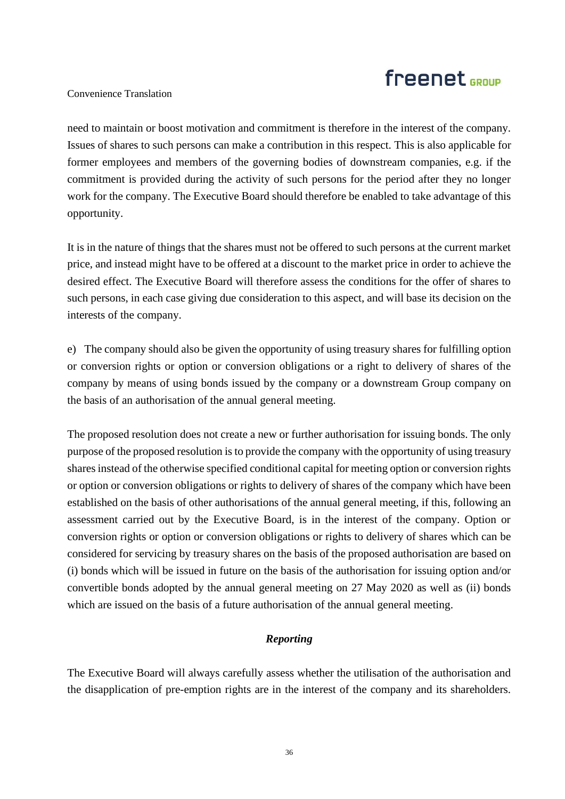### Convenience Translation

need to maintain or boost motivation and commitment is therefore in the interest of the company. Issues of shares to such persons can make a contribution in this respect. This is also applicable for former employees and members of the governing bodies of downstream companies, e.g. if the commitment is provided during the activity of such persons for the period after they no longer work for the company. The Executive Board should therefore be enabled to take advantage of this opportunity.

It is in the nature of things that the shares must not be offered to such persons at the current market price, and instead might have to be offered at a discount to the market price in order to achieve the desired effect. The Executive Board will therefore assess the conditions for the offer of shares to such persons, in each case giving due consideration to this aspect, and will base its decision on the interests of the company.

e) The company should also be given the opportunity of using treasury shares for fulfilling option or conversion rights or option or conversion obligations or a right to delivery of shares of the company by means of using bonds issued by the company or a downstream Group company on the basis of an authorisation of the annual general meeting.

The proposed resolution does not create a new or further authorisation for issuing bonds. The only purpose of the proposed resolution is to provide the company with the opportunity of using treasury shares instead of the otherwise specified conditional capital for meeting option or conversion rights or option or conversion obligations or rights to delivery of shares of the company which have been established on the basis of other authorisations of the annual general meeting, if this, following an assessment carried out by the Executive Board, is in the interest of the company. Option or conversion rights or option or conversion obligations or rights to delivery of shares which can be considered for servicing by treasury shares on the basis of the proposed authorisation are based on (i) bonds which will be issued in future on the basis of the authorisation for issuing option and/or convertible bonds adopted by the annual general meeting on 27 May 2020 as well as (ii) bonds which are issued on the basis of a future authorisation of the annual general meeting.

### *Reporting*

The Executive Board will always carefully assess whether the utilisation of the authorisation and the disapplication of pre-emption rights are in the interest of the company and its shareholders.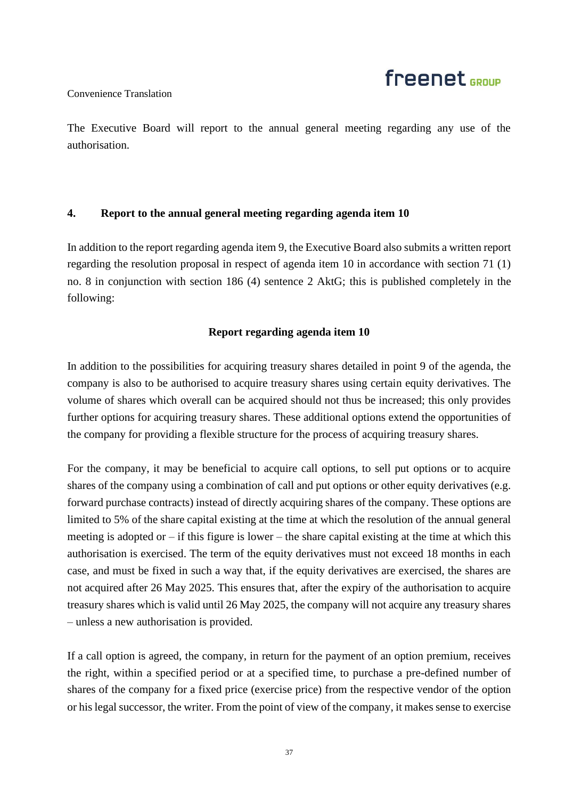### Convenience Translation

The Executive Board will report to the annual general meeting regarding any use of the authorisation.

### **4. Report to the annual general meeting regarding agenda item 10**

In addition to the report regarding agenda item 9, the Executive Board also submits a written report regarding the resolution proposal in respect of agenda item 10 in accordance with section 71 (1) no. 8 in conjunction with section 186 (4) sentence 2 AktG; this is published completely in the following:

### **Report regarding agenda item 10**

In addition to the possibilities for acquiring treasury shares detailed in point 9 of the agenda, the company is also to be authorised to acquire treasury shares using certain equity derivatives. The volume of shares which overall can be acquired should not thus be increased; this only provides further options for acquiring treasury shares. These additional options extend the opportunities of the company for providing a flexible structure for the process of acquiring treasury shares.

For the company, it may be beneficial to acquire call options, to sell put options or to acquire shares of the company using a combination of call and put options or other equity derivatives (e.g. forward purchase contracts) instead of directly acquiring shares of the company. These options are limited to 5% of the share capital existing at the time at which the resolution of the annual general meeting is adopted or  $-$  if this figure is lower – the share capital existing at the time at which this authorisation is exercised. The term of the equity derivatives must not exceed 18 months in each case, and must be fixed in such a way that, if the equity derivatives are exercised, the shares are not acquired after 26 May 2025. This ensures that, after the expiry of the authorisation to acquire treasury shares which is valid until 26 May 2025, the company will not acquire any treasury shares – unless a new authorisation is provided.

If a call option is agreed, the company, in return for the payment of an option premium, receives the right, within a specified period or at a specified time, to purchase a pre-defined number of shares of the company for a fixed price (exercise price) from the respective vendor of the option or his legal successor, the writer. From the point of view of the company, it makes sense to exercise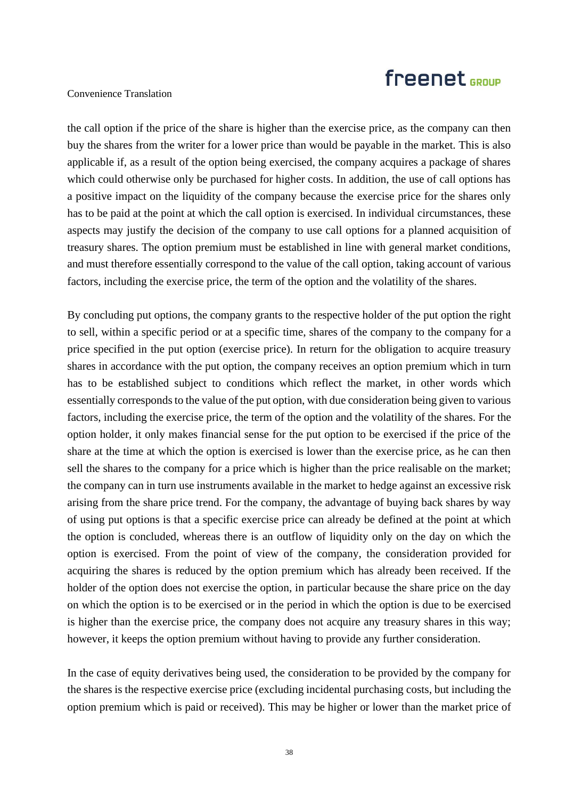### Convenience Translation

the call option if the price of the share is higher than the exercise price, as the company can then buy the shares from the writer for a lower price than would be payable in the market. This is also applicable if, as a result of the option being exercised, the company acquires a package of shares which could otherwise only be purchased for higher costs. In addition, the use of call options has a positive impact on the liquidity of the company because the exercise price for the shares only has to be paid at the point at which the call option is exercised. In individual circumstances, these aspects may justify the decision of the company to use call options for a planned acquisition of treasury shares. The option premium must be established in line with general market conditions, and must therefore essentially correspond to the value of the call option, taking account of various factors, including the exercise price, the term of the option and the volatility of the shares.

By concluding put options, the company grants to the respective holder of the put option the right to sell, within a specific period or at a specific time, shares of the company to the company for a price specified in the put option (exercise price). In return for the obligation to acquire treasury shares in accordance with the put option, the company receives an option premium which in turn has to be established subject to conditions which reflect the market, in other words which essentially corresponds to the value of the put option, with due consideration being given to various factors, including the exercise price, the term of the option and the volatility of the shares. For the option holder, it only makes financial sense for the put option to be exercised if the price of the share at the time at which the option is exercised is lower than the exercise price, as he can then sell the shares to the company for a price which is higher than the price realisable on the market; the company can in turn use instruments available in the market to hedge against an excessive risk arising from the share price trend. For the company, the advantage of buying back shares by way of using put options is that a specific exercise price can already be defined at the point at which the option is concluded, whereas there is an outflow of liquidity only on the day on which the option is exercised. From the point of view of the company, the consideration provided for acquiring the shares is reduced by the option premium which has already been received. If the holder of the option does not exercise the option, in particular because the share price on the day on which the option is to be exercised or in the period in which the option is due to be exercised is higher than the exercise price, the company does not acquire any treasury shares in this way; however, it keeps the option premium without having to provide any further consideration.

In the case of equity derivatives being used, the consideration to be provided by the company for the shares is the respective exercise price (excluding incidental purchasing costs, but including the option premium which is paid or received). This may be higher or lower than the market price of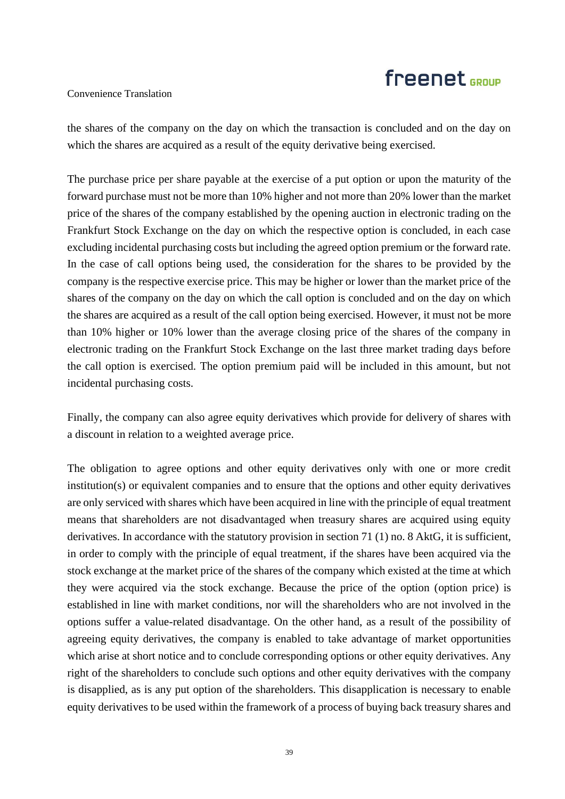### Convenience Translation

the shares of the company on the day on which the transaction is concluded and on the day on which the shares are acquired as a result of the equity derivative being exercised.

The purchase price per share payable at the exercise of a put option or upon the maturity of the forward purchase must not be more than 10% higher and not more than 20% lower than the market price of the shares of the company established by the opening auction in electronic trading on the Frankfurt Stock Exchange on the day on which the respective option is concluded, in each case excluding incidental purchasing costs but including the agreed option premium or the forward rate. In the case of call options being used, the consideration for the shares to be provided by the company is the respective exercise price. This may be higher or lower than the market price of the shares of the company on the day on which the call option is concluded and on the day on which the shares are acquired as a result of the call option being exercised. However, it must not be more than 10% higher or 10% lower than the average closing price of the shares of the company in electronic trading on the Frankfurt Stock Exchange on the last three market trading days before the call option is exercised. The option premium paid will be included in this amount, but not incidental purchasing costs.

Finally, the company can also agree equity derivatives which provide for delivery of shares with a discount in relation to a weighted average price.

The obligation to agree options and other equity derivatives only with one or more credit institution(s) or equivalent companies and to ensure that the options and other equity derivatives are only serviced with shares which have been acquired in line with the principle of equal treatment means that shareholders are not disadvantaged when treasury shares are acquired using equity derivatives. In accordance with the statutory provision in section 71 (1) no. 8 AktG, it is sufficient, in order to comply with the principle of equal treatment, if the shares have been acquired via the stock exchange at the market price of the shares of the company which existed at the time at which they were acquired via the stock exchange. Because the price of the option (option price) is established in line with market conditions, nor will the shareholders who are not involved in the options suffer a value-related disadvantage. On the other hand, as a result of the possibility of agreeing equity derivatives, the company is enabled to take advantage of market opportunities which arise at short notice and to conclude corresponding options or other equity derivatives. Any right of the shareholders to conclude such options and other equity derivatives with the company is disapplied, as is any put option of the shareholders. This disapplication is necessary to enable equity derivatives to be used within the framework of a process of buying back treasury shares and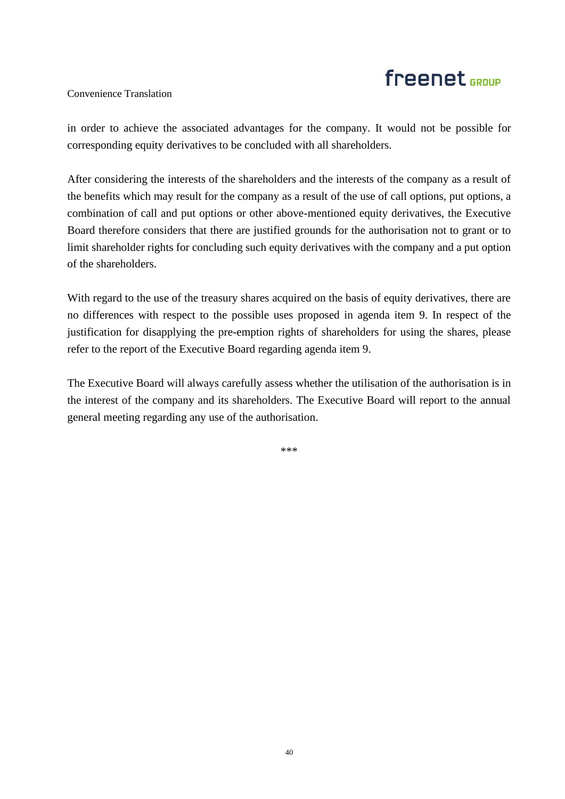### Convenience Translation

in order to achieve the associated advantages for the company. It would not be possible for corresponding equity derivatives to be concluded with all shareholders.

After considering the interests of the shareholders and the interests of the company as a result of the benefits which may result for the company as a result of the use of call options, put options, a combination of call and put options or other above-mentioned equity derivatives, the Executive Board therefore considers that there are justified grounds for the authorisation not to grant or to limit shareholder rights for concluding such equity derivatives with the company and a put option of the shareholders.

With regard to the use of the treasury shares acquired on the basis of equity derivatives, there are no differences with respect to the possible uses proposed in agenda item 9. In respect of the justification for disapplying the pre-emption rights of shareholders for using the shares, please refer to the report of the Executive Board regarding agenda item 9.

The Executive Board will always carefully assess whether the utilisation of the authorisation is in the interest of the company and its shareholders. The Executive Board will report to the annual general meeting regarding any use of the authorisation.

\*\*\*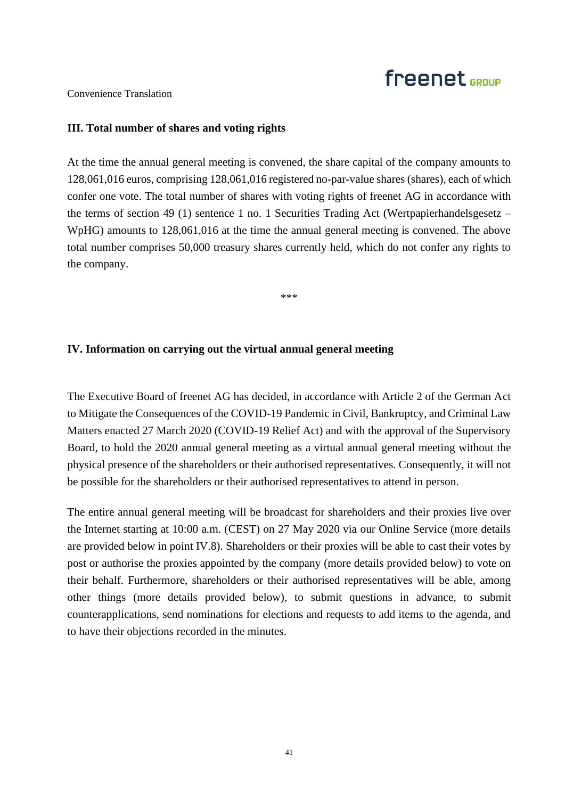Convenience Translation

### **III. Total number of shares and voting rights**

At the time the annual general meeting is convened, the share capital of the company amounts to 128,061,016 euros, comprising 128,061,016 registered no-par-value shares (shares), each of which confer one vote. The total number of shares with voting rights of freenet AG in accordance with the terms of section 49 (1) sentence 1 no. 1 Securities Trading Act (Wertpapierhandelsgesetz – WpHG) amounts to 128,061,016 at the time the annual general meeting is convened. The above total number comprises 50,000 treasury shares currently held, which do not confer any rights to the company.

\*\*\*

#### **IV. Information on carrying out the virtual annual general meeting**

The Executive Board of freenet AG has decided, in accordance with Article 2 of the German Act to Mitigate the Consequences of the COVID-19 Pandemic in Civil, Bankruptcy, and Criminal Law Matters enacted 27 March 2020 (COVID-19 Relief Act) and with the approval of the Supervisory Board, to hold the 2020 annual general meeting as a virtual annual general meeting without the physical presence of the shareholders or their authorised representatives. Consequently, it will not be possible for the shareholders or their authorised representatives to attend in person.

The entire annual general meeting will be broadcast for shareholders and their proxies live over the Internet starting at 10:00 a.m. (CEST) on 27 May 2020 via our Online Service (more details are provided below in point IV.8). Shareholders or their proxies will be able to cast their votes by post or authorise the proxies appointed by the company (more details provided below) to vote on their behalf. Furthermore, shareholders or their authorised representatives will be able, among other things (more details provided below), to submit questions in advance, to submit counterapplications, send nominations for elections and requests to add items to the agenda, and to have their objections recorded in the minutes.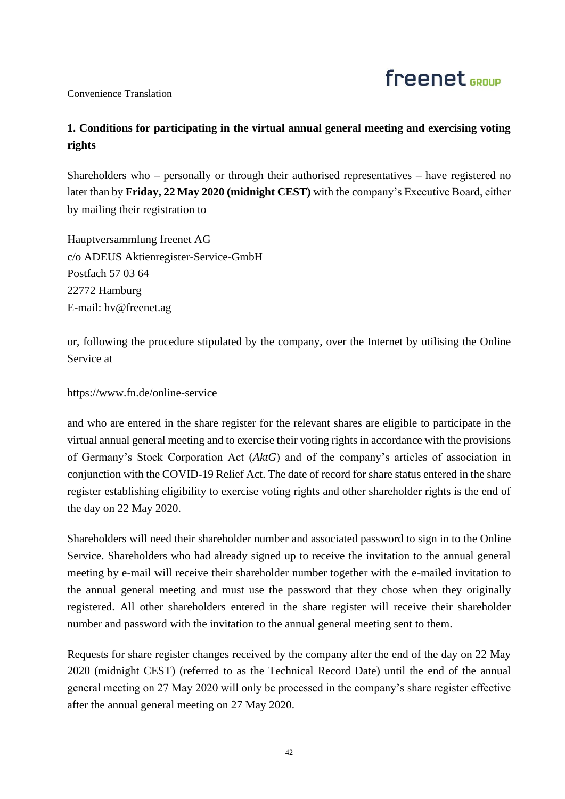### Convenience Translation

### **1. Conditions for participating in the virtual annual general meeting and exercising voting rights**

Shareholders who – personally or through their authorised representatives – have registered no later than by **Friday, 22 May 2020 (midnight CEST)** with the company's Executive Board, either by mailing their registration to

Hauptversammlung freenet AG c/o ADEUS Aktienregister-Service-GmbH Postfach 57 03 64 22772 Hamburg E-mail: hv@freenet.ag

or, following the procedure stipulated by the company, over the Internet by utilising the Online Service at

https://www.fn.de/online-service

and who are entered in the share register for the relevant shares are eligible to participate in the virtual annual general meeting and to exercise their voting rights in accordance with the provisions of Germany's Stock Corporation Act (*AktG*) and of the company's articles of association in conjunction with the COVID-19 Relief Act. The date of record for share status entered in the share register establishing eligibility to exercise voting rights and other shareholder rights is the end of the day on 22 May 2020.

Shareholders will need their shareholder number and associated password to sign in to the Online Service. Shareholders who had already signed up to receive the invitation to the annual general meeting by e-mail will receive their shareholder number together with the e-mailed invitation to the annual general meeting and must use the password that they chose when they originally registered. All other shareholders entered in the share register will receive their shareholder number and password with the invitation to the annual general meeting sent to them.

Requests for share register changes received by the company after the end of the day on 22 May 2020 (midnight CEST) (referred to as the Technical Record Date) until the end of the annual general meeting on 27 May 2020 will only be processed in the company's share register effective after the annual general meeting on 27 May 2020.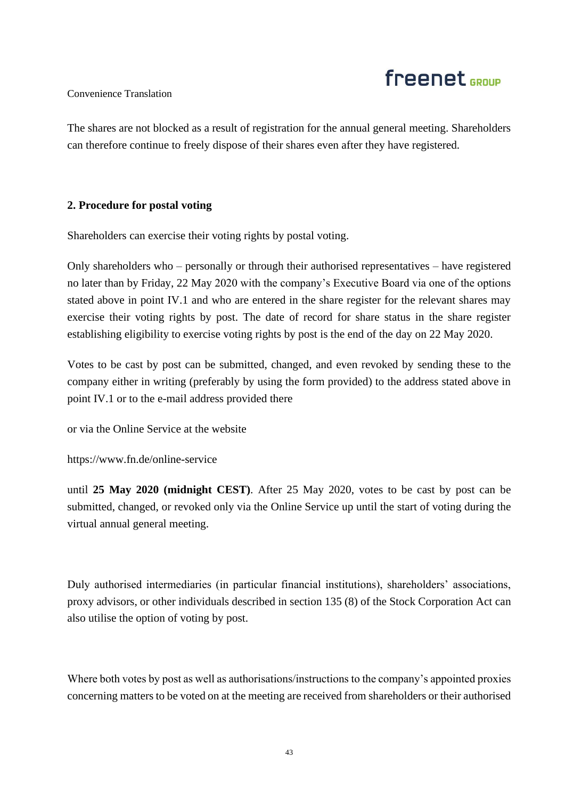# freenet <sub>GROUP</sub>

### Convenience Translation

The shares are not blocked as a result of registration for the annual general meeting. Shareholders can therefore continue to freely dispose of their shares even after they have registered.

### **2. Procedure for postal voting**

Shareholders can exercise their voting rights by postal voting.

Only shareholders who – personally or through their authorised representatives – have registered no later than by Friday, 22 May 2020 with the company's Executive Board via one of the options stated above in point IV.1 and who are entered in the share register for the relevant shares may exercise their voting rights by post. The date of record for share status in the share register establishing eligibility to exercise voting rights by post is the end of the day on 22 May 2020.

Votes to be cast by post can be submitted, changed, and even revoked by sending these to the company either in writing (preferably by using the form provided) to the address stated above in point IV.1 or to the e-mail address provided there

or via the Online Service at the website

https://www.fn.de/online-service

until **25 May 2020 (midnight CEST)**. After 25 May 2020, votes to be cast by post can be submitted, changed, or revoked only via the Online Service up until the start of voting during the virtual annual general meeting.

Duly authorised intermediaries (in particular financial institutions), shareholders' associations, proxy advisors, or other individuals described in section 135 (8) of the Stock Corporation Act can also utilise the option of voting by post.

Where both votes by post as well as authorisations/instructions to the company's appointed proxies concerning matters to be voted on at the meeting are received from shareholders or their authorised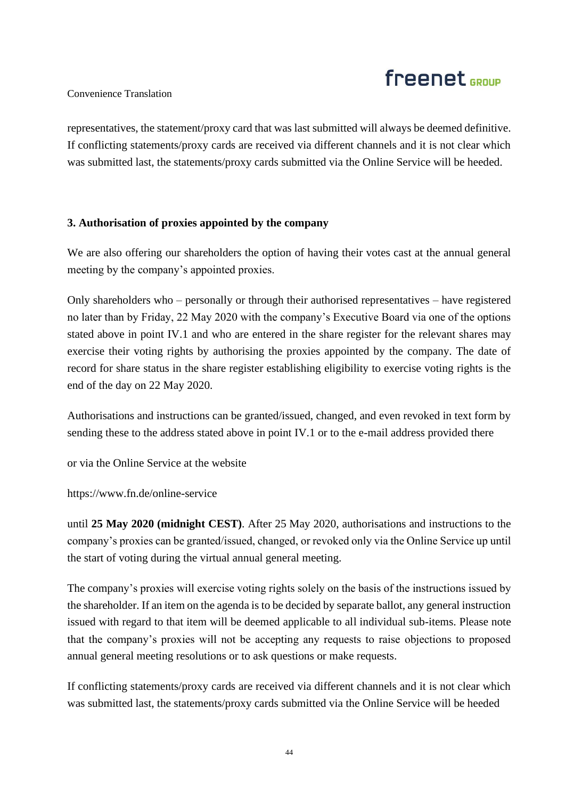# freenet <sub>GROUP</sub>

### Convenience Translation

representatives, the statement/proxy card that was last submitted will always be deemed definitive. If conflicting statements/proxy cards are received via different channels and it is not clear which was submitted last, the statements/proxy cards submitted via the Online Service will be heeded.

### **3. Authorisation of proxies appointed by the company**

We are also offering our shareholders the option of having their votes cast at the annual general meeting by the company's appointed proxies.

Only shareholders who – personally or through their authorised representatives – have registered no later than by Friday, 22 May 2020 with the company's Executive Board via one of the options stated above in point IV.1 and who are entered in the share register for the relevant shares may exercise their voting rights by authorising the proxies appointed by the company. The date of record for share status in the share register establishing eligibility to exercise voting rights is the end of the day on 22 May 2020.

Authorisations and instructions can be granted/issued, changed, and even revoked in text form by sending these to the address stated above in point IV.1 or to the e-mail address provided there

or via the Online Service at the website

https://www.fn.de/online-service

until **25 May 2020 (midnight CEST)**. After 25 May 2020, authorisations and instructions to the company's proxies can be granted/issued, changed, or revoked only via the Online Service up until the start of voting during the virtual annual general meeting.

The company's proxies will exercise voting rights solely on the basis of the instructions issued by the shareholder. If an item on the agenda is to be decided by separate ballot, any general instruction issued with regard to that item will be deemed applicable to all individual sub-items. Please note that the company's proxies will not be accepting any requests to raise objections to proposed annual general meeting resolutions or to ask questions or make requests.

If conflicting statements/proxy cards are received via different channels and it is not clear which was submitted last, the statements/proxy cards submitted via the Online Service will be heeded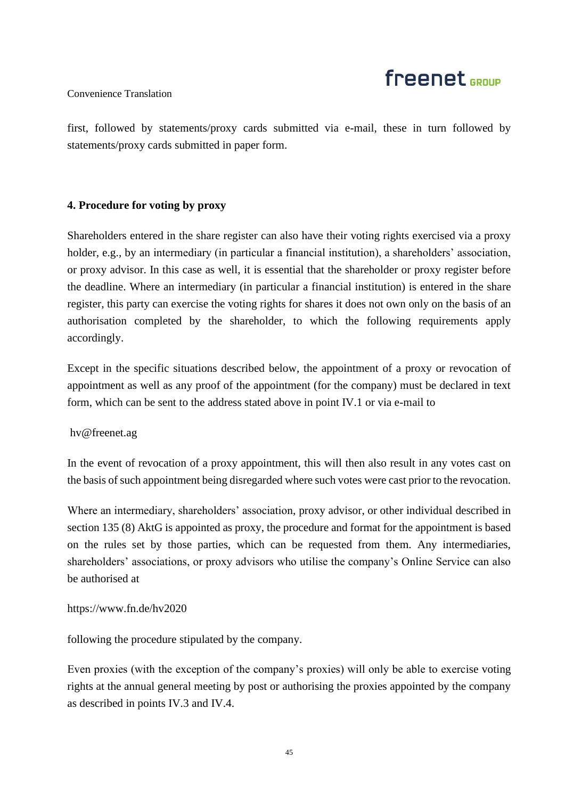### Convenience Translation

first, followed by statements/proxy cards submitted via e-mail, these in turn followed by statements/proxy cards submitted in paper form.

### **4. Procedure for voting by proxy**

Shareholders entered in the share register can also have their voting rights exercised via a proxy holder, e.g., by an intermediary (in particular a financial institution), a shareholders' association, or proxy advisor. In this case as well, it is essential that the shareholder or proxy register before the deadline. Where an intermediary (in particular a financial institution) is entered in the share register, this party can exercise the voting rights for shares it does not own only on the basis of an authorisation completed by the shareholder, to which the following requirements apply accordingly.

Except in the specific situations described below, the appointment of a proxy or revocation of appointment as well as any proof of the appointment (for the company) must be declared in text form, which can be sent to the address stated above in point IV.1 or via e-mail to

hv@freenet.ag

In the event of revocation of a proxy appointment, this will then also result in any votes cast on the basis of such appointment being disregarded where such votes were cast prior to the revocation.

Where an intermediary, shareholders' association, proxy advisor, or other individual described in section 135 (8) AktG is appointed as proxy, the procedure and format for the appointment is based on the rules set by those parties, which can be requested from them. Any intermediaries, shareholders' associations, or proxy advisors who utilise the company's Online Service can also be authorised at

### https://www.fn.de/hv2020

following the procedure stipulated by the company.

Even proxies (with the exception of the company's proxies) will only be able to exercise voting rights at the annual general meeting by post or authorising the proxies appointed by the company as described in points IV.3 and IV.4.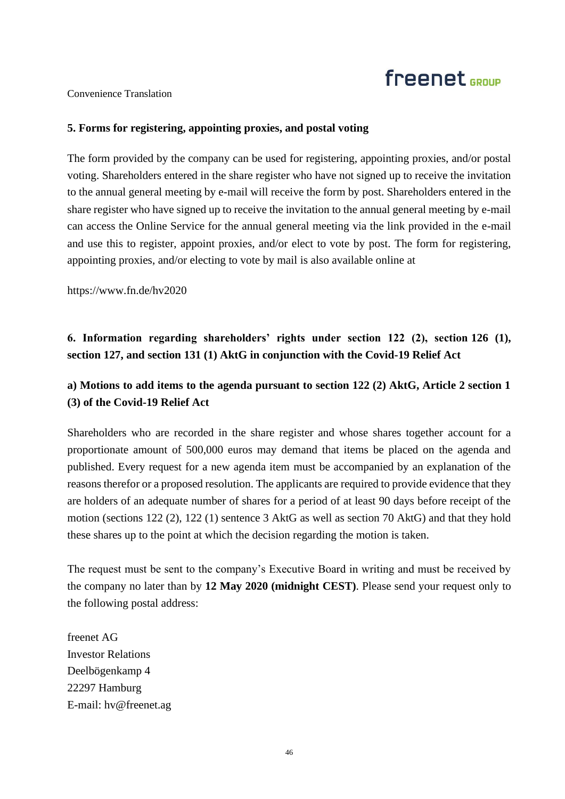Convenience Translation

### **5. Forms for registering, appointing proxies, and postal voting**

The form provided by the company can be used for registering, appointing proxies, and/or postal voting. Shareholders entered in the share register who have not signed up to receive the invitation to the annual general meeting by e-mail will receive the form by post. Shareholders entered in the share register who have signed up to receive the invitation to the annual general meeting by e-mail can access the Online Service for the annual general meeting via the link provided in the e-mail and use this to register, appoint proxies, and/or elect to vote by post. The form for registering, appointing proxies, and/or electing to vote by mail is also available online at

https://www.fn.de/hv2020

### **6. Information regarding shareholders' rights under section 122 (2), section 126 (1), section 127, and section 131 (1) AktG in conjunction with the Covid-19 Relief Act**

### **a) Motions to add items to the agenda pursuant to section 122 (2) AktG, Article 2 section 1 (3) of the Covid-19 Relief Act**

Shareholders who are recorded in the share register and whose shares together account for a proportionate amount of 500,000 euros may demand that items be placed on the agenda and published. Every request for a new agenda item must be accompanied by an explanation of the reasons therefor or a proposed resolution. The applicants are required to provide evidence that they are holders of an adequate number of shares for a period of at least 90 days before receipt of the motion (sections 122 (2), 122 (1) sentence 3 AktG as well as section 70 AktG) and that they hold these shares up to the point at which the decision regarding the motion is taken.

The request must be sent to the company's Executive Board in writing and must be received by the company no later than by **12 May 2020 (midnight CEST)**. Please send your request only to the following postal address:

freenet AG Investor Relations Deelbögenkamp 4 22297 Hamburg E-mail: hv@freenet.ag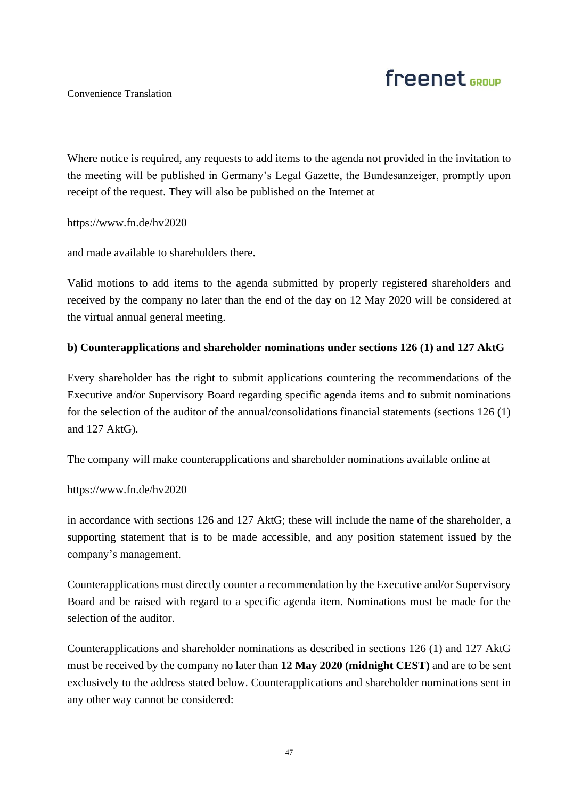# freenet <sub>GROUP</sub>

Convenience Translation

Where notice is required, any requests to add items to the agenda not provided in the invitation to the meeting will be published in Germany's Legal Gazette, the Bundesanzeiger, promptly upon receipt of the request. They will also be published on the Internet at

https://www.fn.de/hv2020

and made available to shareholders there.

Valid motions to add items to the agenda submitted by properly registered shareholders and received by the company no later than the end of the day on 12 May 2020 will be considered at the virtual annual general meeting.

### **b) Counterapplications and shareholder nominations under sections 126 (1) and 127 AktG**

Every shareholder has the right to submit applications countering the recommendations of the Executive and/or Supervisory Board regarding specific agenda items and to submit nominations for the selection of the auditor of the annual/consolidations financial statements (sections 126 (1) and 127 AktG).

The company will make counterapplications and shareholder nominations available online at

### https://www.fn.de/hv2020

in accordance with sections 126 and 127 AktG; these will include the name of the shareholder, a supporting statement that is to be made accessible, and any position statement issued by the company's management.

Counterapplications must directly counter a recommendation by the Executive and/or Supervisory Board and be raised with regard to a specific agenda item. Nominations must be made for the selection of the auditor.

Counterapplications and shareholder nominations as described in sections 126 (1) and 127 AktG must be received by the company no later than **12 May 2020 (midnight CEST)** and are to be sent exclusively to the address stated below. Counterapplications and shareholder nominations sent in any other way cannot be considered: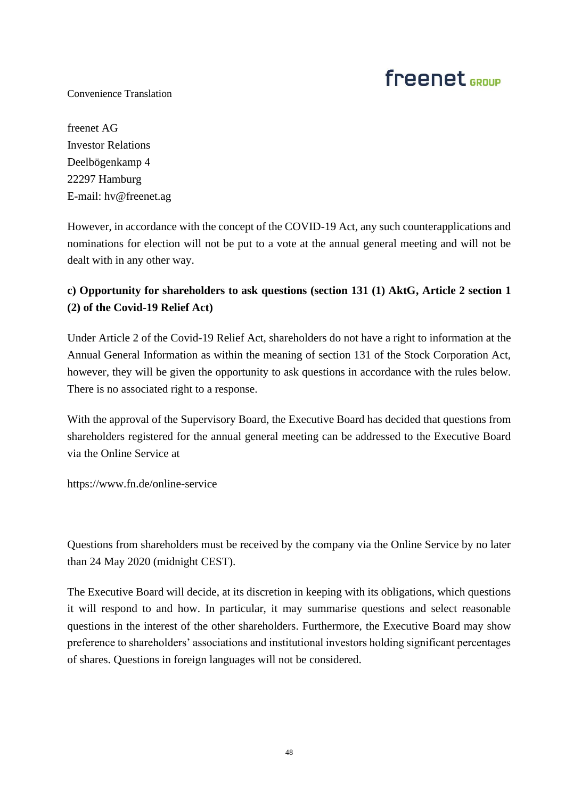Convenience Translation

freenet AG Investor Relations Deelbögenkamp 4 22297 Hamburg E-mail: hv@freenet.ag

However, in accordance with the concept of the COVID-19 Act, any such counterapplications and nominations for election will not be put to a vote at the annual general meeting and will not be dealt with in any other way.

### **c) Opportunity for shareholders to ask questions (section 131 (1) AktG, Article 2 section 1 (2) of the Covid-19 Relief Act)**

Under Article 2 of the Covid-19 Relief Act, shareholders do not have a right to information at the Annual General Information as within the meaning of section 131 of the Stock Corporation Act, however, they will be given the opportunity to ask questions in accordance with the rules below. There is no associated right to a response.

With the approval of the Supervisory Board, the Executive Board has decided that questions from shareholders registered for the annual general meeting can be addressed to the Executive Board via the Online Service at

https://www.fn.de/online-service

Questions from shareholders must be received by the company via the Online Service by no later than 24 May 2020 (midnight CEST).

The Executive Board will decide, at its discretion in keeping with its obligations, which questions it will respond to and how. In particular, it may summarise questions and select reasonable questions in the interest of the other shareholders. Furthermore, the Executive Board may show preference to shareholders' associations and institutional investors holding significant percentages of shares. Questions in foreign languages will not be considered.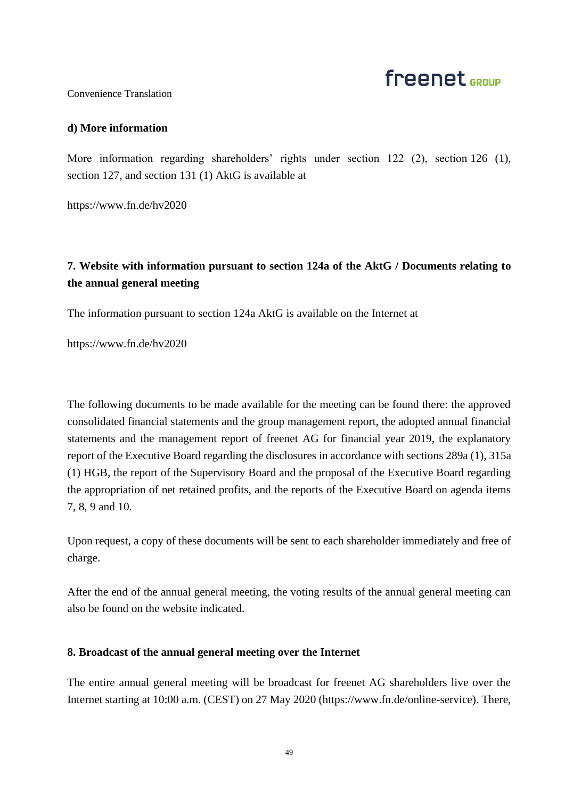## freenet <sub>GROUP</sub>

#### Convenience Translation

### **d) More information**

More information regarding shareholders' rights under section 122 (2), section 126 (1), section 127, and section 131 (1) AktG is available at

https://www.fn.de/hv2020

### **7. Website with information pursuant to section 124a of the AktG / Documents relating to the annual general meeting**

The information pursuant to section 124a AktG is available on the Internet at

https://www.fn.de/hv2020

The following documents to be made available for the meeting can be found there: the approved consolidated financial statements and the group management report, the adopted annual financial statements and the management report of freenet AG for financial year 2019, the explanatory report of the Executive Board regarding the disclosures in accordance with sections 289a (1), 315a (1) HGB, the report of the Supervisory Board and the proposal of the Executive Board regarding the appropriation of net retained profits, and the reports of the Executive Board on agenda items 7, 8, 9 and 10.

Upon request, a copy of these documents will be sent to each shareholder immediately and free of charge.

After the end of the annual general meeting, the voting results of the annual general meeting can also be found on the website indicated.

### **8. Broadcast of the annual general meeting over the Internet**

The entire annual general meeting will be broadcast for freenet AG shareholders live over the Internet starting at 10:00 a.m. (CEST) on 27 May 2020 (https://www.fn.de/online-service). There,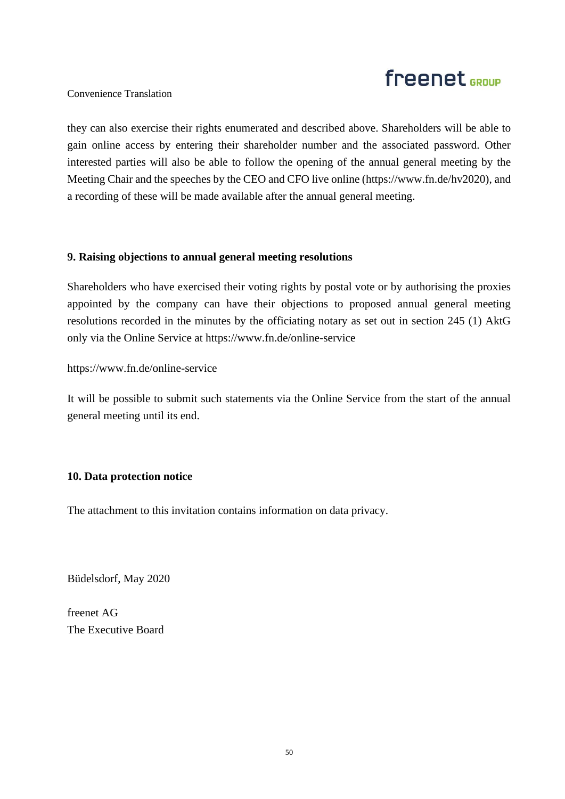### Convenience Translation

they can also exercise their rights enumerated and described above. Shareholders will be able to gain online access by entering their shareholder number and the associated password. Other interested parties will also be able to follow the opening of the annual general meeting by the Meeting Chair and the speeches by the CEO and CFO live online (https://www.fn.de/hv2020), and a recording of these will be made available after the annual general meeting.

### **9. Raising objections to annual general meeting resolutions**

Shareholders who have exercised their voting rights by postal vote or by authorising the proxies appointed by the company can have their objections to proposed annual general meeting resolutions recorded in the minutes by the officiating notary as set out in section 245 (1) AktG only via the Online Service at https://www.fn.de/online-service

https://www.fn.de/online-service

It will be possible to submit such statements via the Online Service from the start of the annual general meeting until its end.

### **10. Data protection notice**

The attachment to this invitation contains information on data privacy.

Büdelsdorf, May 2020

freenet AG The Executive Board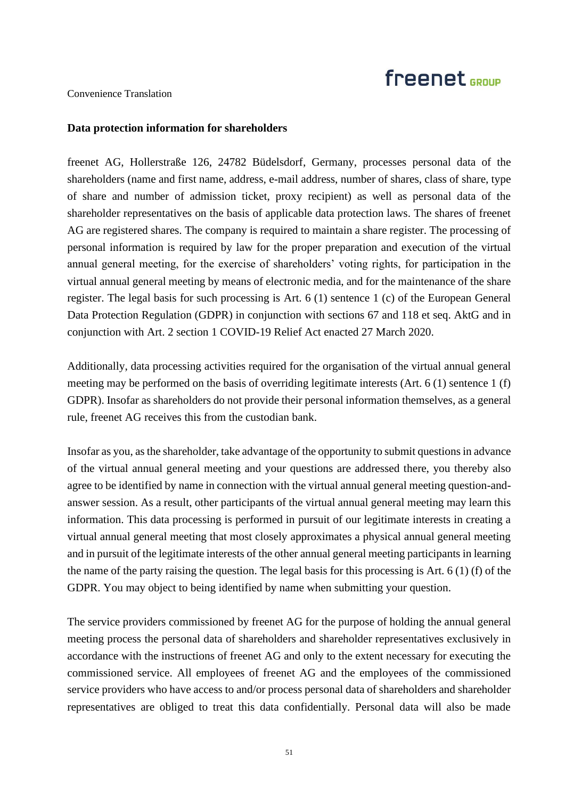### Convenience Translation

#### **Data protection information for shareholders**

freenet AG, Hollerstraße 126, 24782 Büdelsdorf, Germany, processes personal data of the shareholders (name and first name, address, e-mail address, number of shares, class of share, type of share and number of admission ticket, proxy recipient) as well as personal data of the shareholder representatives on the basis of applicable data protection laws. The shares of freenet AG are registered shares. The company is required to maintain a share register. The processing of personal information is required by law for the proper preparation and execution of the virtual annual general meeting, for the exercise of shareholders' voting rights, for participation in the virtual annual general meeting by means of electronic media, and for the maintenance of the share register. The legal basis for such processing is Art. 6 (1) sentence 1 (c) of the European General Data Protection Regulation (GDPR) in conjunction with sections 67 and 118 et seq. AktG and in conjunction with Art. 2 section 1 COVID-19 Relief Act enacted 27 March 2020.

Additionally, data processing activities required for the organisation of the virtual annual general meeting may be performed on the basis of overriding legitimate interests (Art. 6 (1) sentence 1 (f) GDPR). Insofar as shareholders do not provide their personal information themselves, as a general rule, freenet AG receives this from the custodian bank.

Insofar as you, as the shareholder, take advantage of the opportunity to submit questions in advance of the virtual annual general meeting and your questions are addressed there, you thereby also agree to be identified by name in connection with the virtual annual general meeting question-andanswer session. As a result, other participants of the virtual annual general meeting may learn this information. This data processing is performed in pursuit of our legitimate interests in creating a virtual annual general meeting that most closely approximates a physical annual general meeting and in pursuit of the legitimate interests of the other annual general meeting participants in learning the name of the party raising the question. The legal basis for this processing is Art. 6 (1) (f) of the GDPR. You may object to being identified by name when submitting your question.

The service providers commissioned by freenet AG for the purpose of holding the annual general meeting process the personal data of shareholders and shareholder representatives exclusively in accordance with the instructions of freenet AG and only to the extent necessary for executing the commissioned service. All employees of freenet AG and the employees of the commissioned service providers who have access to and/or process personal data of shareholders and shareholder representatives are obliged to treat this data confidentially. Personal data will also be made